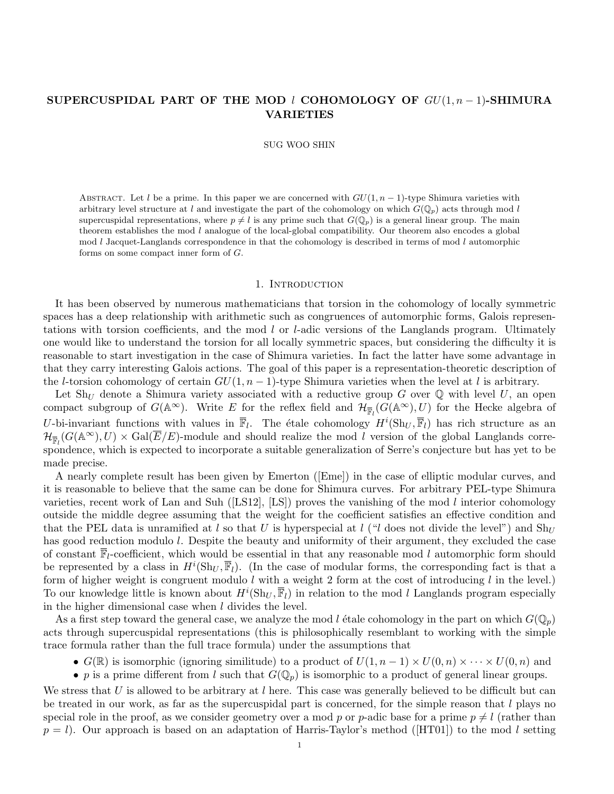# SUPERCUSPIDAL PART OF THE MOD  $l$  COHOMOLOGY OF  $GU(1, n-1)$ -SHIMURA VARIETIES

SUG WOO SHIN

ABSTRACT. Let l be a prime. In this paper we are concerned with  $GU(1, n-1)$ -type Shimura varieties with arbitrary level structure at l and investigate the part of the cohomology on which  $G(\mathbb{Q}_p)$  acts through mod l supercuspidal representations, where  $p \neq l$  is any prime such that  $G(\mathbb{Q}_p)$  is a general linear group. The main theorem establishes the mod  $l$  analogue of the local-global compatibility. Our theorem also encodes a global mod  $l$  Jacquet-Langlands correspondence in that the cohomology is described in terms of mod  $l$  automorphic forms on some compact inner form of G.

#### 1. Introduction

It has been observed by numerous mathematicians that torsion in the cohomology of locally symmetric spaces has a deep relationship with arithmetic such as congruences of automorphic forms, Galois representations with torsion coefficients, and the mod l or l-adic versions of the Langlands program. Ultimately one would like to understand the torsion for all locally symmetric spaces, but considering the difficulty it is reasonable to start investigation in the case of Shimura varieties. In fact the latter have some advantage in that they carry interesting Galois actions. The goal of this paper is a representation-theoretic description of the l-torsion cohomology of certain  $GU(1, n-1)$ -type Shimura varieties when the level at l is arbitrary.

Let Sh<sub>U</sub> denote a Shimura variety associated with a reductive group G over Q with level U, an open compact subgroup of  $G(\mathbb{A}^{\infty})$ . Write E for the reflex field and  $\mathcal{H}_{\overline{\mathbb{F}}_l}(G(\mathbb{A}^{\infty}), U)$  for the Hecke algebra of U-bi-invariant functions with values in  $\overline{\mathbb{F}}_l$ . The étale cohomology  $H^i(\text{Sh}_U, \overline{\mathbb{F}}_l)$  has rich structure as an  $\mathcal{H}_{\overline{\mathbb{F}}_l}(G(\mathbb{A}^{\infty}), U) \times \text{Gal}(\overline{E}/E)$ -module and should realize the mod l version of the global Langlands correspondence, which is expected to incorporate a suitable generalization of Serre's conjecture but has yet to be made precise.

A nearly complete result has been given by Emerton ([Eme]) in the case of elliptic modular curves, and it is reasonable to believe that the same can be done for Shimura curves. For arbitrary PEL-type Shimura varieties, recent work of Lan and Suh ([LS12], [LS]) proves the vanishing of the mod l interior cohomology outside the middle degree assuming that the weight for the coefficient satisfies an effective condition and that the PEL data is unramified at l so that U is hyperspecial at l ("l does not divide the level") and  $Sh_U$ has good reduction modulo l. Despite the beauty and uniformity of their argument, they excluded the case of constant  $\overline{\mathbb{F}}_l$ -coefficient, which would be essential in that any reasonable mod l automorphic form should be represented by a class in  $H^i(\text{Sh}_U, \overline{\mathbb{F}}_l)$ . (In the case of modular forms, the corresponding fact is that a form of higher weight is congruent modulo l with a weight 2 form at the cost of introducing l in the level.) To our knowledge little is known about  $H^i(\mathrm{Sh}_U, \overline{\mathbb{F}}_l)$  in relation to the mod l Langlands program especially in the higher dimensional case when  $l$  divides the level.

As a first step toward the general case, we analyze the mod l étale cohomology in the part on which  $G(\mathbb{Q}_p)$ acts through supercuspidal representations (this is philosophically resemblant to working with the simple trace formula rather than the full trace formula) under the assumptions that

- $G(\mathbb{R})$  is isomorphic (ignoring similitude) to a product of  $U(1, n-1) \times U(0, n) \times \cdots \times U(0, n)$  and
- p is a prime different from l such that  $G(\mathbb{Q}_p)$  is isomorphic to a product of general linear groups.

We stress that U is allowed to be arbitrary at l here. This case was generally believed to be difficult but can be treated in our work, as far as the supercuspidal part is concerned, for the simple reason that  $l$  plays no special role in the proof, as we consider geometry over a mod p or p-adic base for a prime  $p \neq l$  (rather than  $p = l$ . Our approach is based on an adaptation of Harris-Taylor's method ([HT01]) to the mod l setting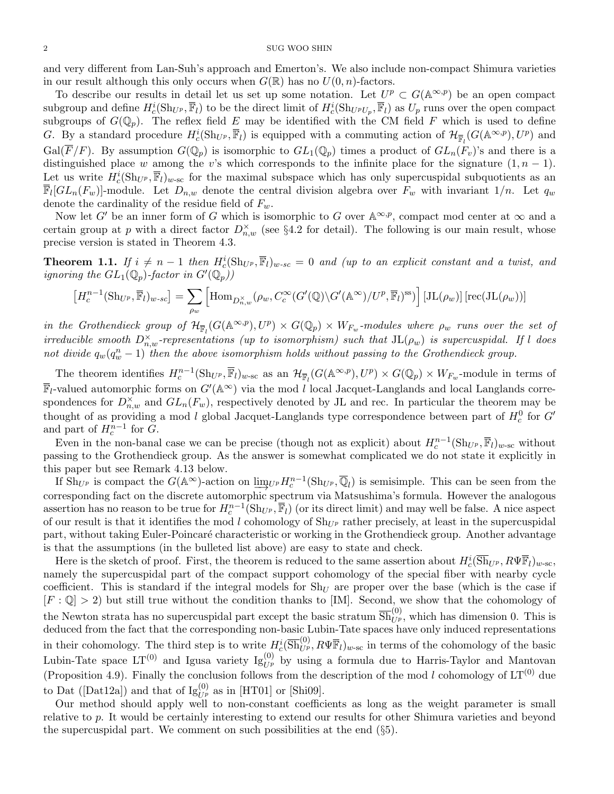and very different from Lan-Suh's approach and Emerton's. We also include non-compact Shimura varieties in our result although this only occurs when  $G(\mathbb{R})$  has no  $U(0, n)$ -factors.

To describe our results in detail let us set up some notation. Let  $U^p \subset G(\mathbb{A}^{\infty,p})$  be an open compact subgroup and define  $H_c^i(\mathrm{Sh}_{U^p}, \overline{\mathbb{F}}_l)$  to be the direct limit of  $H_c^i(\mathrm{Sh}_{U^pU_p}, \overline{\mathbb{F}}_l)$  as  $U_p$  runs over the open compact subgroups of  $G(\mathbb{Q}_p)$ . The reflex field E may be identified with the CM field F which is used to define G. By a standard procedure  $H_c^i(\text{Sh}_{U^p}, \overline{\mathbb{F}}_l)$  is equipped with a commuting action of  $\mathcal{H}_{\overline{\mathbb{F}}_l}(G(\mathbb{A}^{\infty, p}), U^p)$  and  $Gal(\overline{F}/F)$ . By assumption  $G(\mathbb{Q}_p)$  is isomorphic to  $GL_1(\mathbb{Q}_p)$  times a product of  $GL_n(F_v)$ 's and there is a distinguished place w among the v's which corresponds to the infinite place for the signature  $(1, n - 1)$ . Let us write  $H_c^i(\mathrm{Sh}_{U^p}, \overline{\mathbb{F}}_l)_{w\text{-sc}}$  for the maximal subspace which has only supercuspidal subquotients as an  $\overline{\mathbb{F}}_l[GL_n(F_w)]$ -module. Let  $D_{n,w}$  denote the central division algebra over  $F_w$  with invariant  $1/n$ . Let  $q_w$ denote the cardinality of the residue field of  $F_w$ .

Now let G' be an inner form of G which is isomorphic to G over  $\mathbb{A}^{\infty,p}$ , compact mod center at  $\infty$  and a certain group at p with a direct factor  $D_{n,w}^{\times}$  (see §4.2 for detail). The following is our main result, whose precise version is stated in Theorem 4.3.

**Theorem 1.1.** If  $i \neq n-1$  then  $H_c^i(\mathrm{Sh}_{U^p}, \overline{\mathbb{F}}_l)_{w-sc} = 0$  and (up to an explicit constant and a twist, and ignoring the  $GL_1(\mathbb{Q}_p)$ -factor in  $G'(\mathbb{Q}_p)$ 

$$
\left[H_c^{n-1}(\mathrm{Sh}_{U^p}, \overline{\mathbb{F}}_l)_{w\text{-}sc}\right] = \sum_{\rho_w} \left[\mathrm{Hom}_{D_{n,w}^\times}(\rho_w, C_c^\infty(G'(\mathbb{Q})\backslash G'(\mathbb{A}^\infty)/U^p, \overline{\mathbb{F}}_l)^{\mathrm{ss}})\right] [\mathrm{JL}(\rho_w)] \left[\mathrm{rec}(\mathrm{JL}(\rho_w))\right]
$$

in the Grothendieck group of  $\mathcal{H}_{\overline{\mathbb{F}}_l}(G(\mathbb{A}^{\infty,p}),U^p)\times G(\mathbb{Q}_p)\times W_{F_w}$ -modules where  $\rho_w$  runs over the set of irreducible smooth  $D_{n,w}^{\times}$ -representations (up to isomorphism) such that  $\text{JL}(\rho_w)$  is supercuspidal. If l does not divide  $q_w(q_w^n - 1)$  then the above isomorphism holds without passing to the Grothendieck group.

The theorem identifies  $H_c^{n-1}(\text{Sh}_{U^p}, \overline{\mathbb{F}}_l)_{w\text{-sc}}$  as an  $\mathcal{H}_{\overline{\mathbb{F}}_l}(G(\mathbb{A}^{\infty, p}), U^p) \times G(\mathbb{Q}_p) \times W_{F_w}$ -module in terms of  $\overline{\mathbb{F}}_l$ -valued automorphic forms on  $G'(\mathbb{A}^{\infty})$  via the mod l local Jacquet-Langlands and local Langlands correspondences for  $D_{n,w}^{\times}$  and  $GL_n(F_w)$ , respectively denoted by JL and rec. In particular the theorem may be thought of as providing a mod l global Jacquet-Langlands type correspondence between part of  $H_c^0$  for  $G'$ and part of  $H_c^{n-1}$  for  $G$ .

Even in the non-banal case we can be precise (though not as explicit) about  $H_c^{n-1}(\text{Sh}_{U^p}, \overline{\mathbb{F}}_l)_{w-\text{sc}}$  without passing to the Grothendieck group. As the answer is somewhat complicated we do not state it explicitly in this paper but see Remark 4.13 below.

If  $\text{Sh}_{U^p}$  is compact the  $G(\mathbb{A}^{\infty})$ -action on  $\lim_{\mathcal{U}^p} H_c^{n-1}(\text{Sh}_{U^p}, \overline{\mathbb{Q}}_l)$  is semisimple. This can be seen from the corresponding fact on the discrete automorphic spectrum via Matsushima's formula. However the analogous assertion has no reason to be true for  $H_c^{n-1}(\text{Sh}_{U^p}, \overline{\mathbb{F}}_l)$  (or its direct limit) and may well be false. A nice aspect of our result is that it identifies the mod l cohomology of  $Sh_{U^p}$  rather precisely, at least in the supercuspidal part, without taking Euler-Poincaré characteristic or working in the Grothendieck group. Another advantage is that the assumptions (in the bulleted list above) are easy to state and check.

Here is the sketch of proof. First, the theorem is reduced to the same assertion about  $H_c^i(\overline{\text{Sh}}_{U^p}, R\Psi \overline{\mathbb{F}}_l)_{w\text{-sc}}$ , namely the supercuspidal part of the compact support cohomology of the special fiber with nearby cycle coefficient. This is standard if the integral models for  $Sh_U$  are proper over the base (which is the case if  $[F: \mathbb{Q}] > 2$  but still true without the condition thanks to [IM]. Second, we show that the cohomology of the Newton strata has no supercuspidal part except the basic stratum  $\overline{Sh}_{U^p}^{(0)}$ , which has dimension 0. This is deduced from the fact that the corresponding non-basic Lubin-Tate spaces have only induced representations in their cohomology. The third step is to write  $H_c^i(\overline{\text{Sh}}_{U^p}^{(0)}, R\Psi \overline{\mathbb{F}}_l)_{w\text{-sc}}$  in terms of the cohomology of the basic Lubin-Tate space  $LT^{(0)}$  and Igusa variety  $Ig_{U^p}^{(0)}$  by using a formula due to Harris-Taylor and Mantovan (Proposition 4.9). Finally the conclusion follows from the description of the mod l cohomology of  $LT^{(0)}$  due to Dat ([Dat12a]) and that of  $Ig_{U^p}^{(0)}$  as in [HT01] or [Shi09].

Our method should apply well to non-constant coefficients as long as the weight parameter is small relative to p. It would be certainly interesting to extend our results for other Shimura varieties and beyond the supercuspidal part. We comment on such possibilities at the end  $(\delta 5)$ .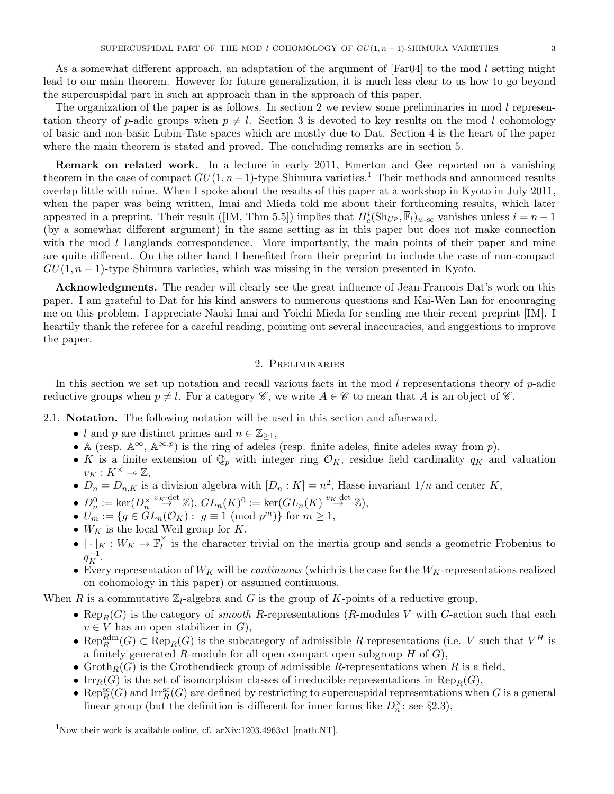As a somewhat different approach, an adaptation of the argument of  $[Far04]$  to the mod l setting might lead to our main theorem. However for future generalization, it is much less clear to us how to go beyond the supercuspidal part in such an approach than in the approach of this paper.

The organization of the paper is as follows. In section 2 we review some preliminaries in mod  $l$  representation theory of p-adic groups when  $p \neq l$ . Section 3 is devoted to key results on the mod l cohomology of basic and non-basic Lubin-Tate spaces which are mostly due to Dat. Section 4 is the heart of the paper where the main theorem is stated and proved. The concluding remarks are in section 5.

Remark on related work. In a lecture in early 2011, Emerton and Gee reported on a vanishing theorem in the case of compact  $GU(1, n-1)$ -type Shimura varieties.<sup>1</sup> Their methods and announced results overlap little with mine. When I spoke about the results of this paper at a workshop in Kyoto in July 2011, when the paper was being written, Imai and Mieda told me about their forthcoming results, which later appeared in a preprint. Their result ([IM, Thm 5.5]) implies that  $H_c^i(\text{Sh}_{U^p}, \overline{\mathbb{F}}_l)_{w\text{-sc}}$  vanishes unless  $i = n - 1$ (by a somewhat different argument) in the same setting as in this paper but does not make connection with the mod  $l$  Langlands correspondence. More importantly, the main points of their paper and mine are quite different. On the other hand I benefited from their preprint to include the case of non-compact  $GU(1, n-1)$ -type Shimura varieties, which was missing in the version presented in Kyoto.

Acknowledgments. The reader will clearly see the great influence of Jean-Francois Dat's work on this paper. I am grateful to Dat for his kind answers to numerous questions and Kai-Wen Lan for encouraging me on this problem. I appreciate Naoki Imai and Yoichi Mieda for sending me their recent preprint [IM]. I heartily thank the referee for a careful reading, pointing out several inaccuracies, and suggestions to improve the paper.

## 2. Preliminaries

In this section we set up notation and recall various facts in the mod  $l$  representations theory of  $p$ -adic reductive groups when  $p \neq l$ . For a category  $\mathscr{C}$ , we write  $A \in \mathscr{C}$  to mean that A is an object of  $\mathscr{C}$ .

2.1. Notation. The following notation will be used in this section and afterward.

- l and p are distinct primes and  $n \in \mathbb{Z}_{\geq 1}$ ,
- A (resp.  $\mathbb{A}^{\infty}$ ,  $\mathbb{A}^{\infty}$ ,  $\mathbb{A}^{\infty}$ ) is the ring of adeles (resp. finite adeles, finite adeles away from p),
- K is a finite extension of  $\mathbb{Q}_p$  with integer ring  $\mathcal{O}_K$ , residue field cardinality  $q_K$  and valuation  $v_K: K^{\times} \rightarrow \mathbb{Z},$
- $D_n = D_{n,K}$  is a division algebra with  $[D_n : K] = n^2$ , Hasse invariant  $1/n$  and center K,
- $D_n^0 := \ker(D_n^{\times})$  $\overset{v_K\text{-}\mathrm{det}}{\rightarrow} \mathbb{Z}$ ,  $GL_n(K)^0 := \ker(GL_n(K) \overset{v_K\text{-}\mathrm{det}}{\rightarrow} \mathbb{Z}),$
- $U_m := \{ g \in GL_n(\mathcal{O}_K) : g \equiv 1 \pmod{p^m} \}$  for  $m \geq 1$ ,
- $W_K$  is the local Weil group for K.
- $\bullet \, | \cdot |_K : W_K \to \overline{\mathbb{F}}_l^\times$  $\hat{l}$  is the character trivial on the inertia group and sends a geometric Frobenius to  $q_K^{-1}$ .
- Every representation of  $W_K$  will be *continuous* (which is the case for the  $W_K$ -representations realized on cohomology in this paper) or assumed continuous.

When R is a commutative  $\mathbb{Z}_l$ -algebra and G is the group of K-points of a reductive group,

- Rep<sub>R</sub>(G) is the category of *smooth R*-representations (*R*-modules V with G-action such that each  $v \in V$  has an open stabilizer in  $G$ ),
- Rep<sub>R</sub><sup>adm</sup> $(G)$   $\subset$  Rep<sub>R</sub> $(G)$  is the subcategory of admissible R-representations (i.e. V such that  $V^H$  is a finitely generated R-module for all open compact open subgroup  $H$  of  $G$ ),
- Groth $_R(G)$  is the Grothendieck group of admissible R-representations when R is a field,
- Irr $_R(G)$  is the set of isomorphism classes of irreducible representations in Rep<sub>R</sub> $(G)$ ,
- Rep $_R^{\rm sc}(G)$  and Irr $_R^{\rm sc}(G)$  are defined by restricting to supercuspidal representations when G is a general linear group (but the definition is different for inner forms like  $D_n^{\times}$ ; see §2.3),

<sup>&</sup>lt;sup>1</sup>Now their work is available online, cf. arXiv:1203.4963v1 [math.NT].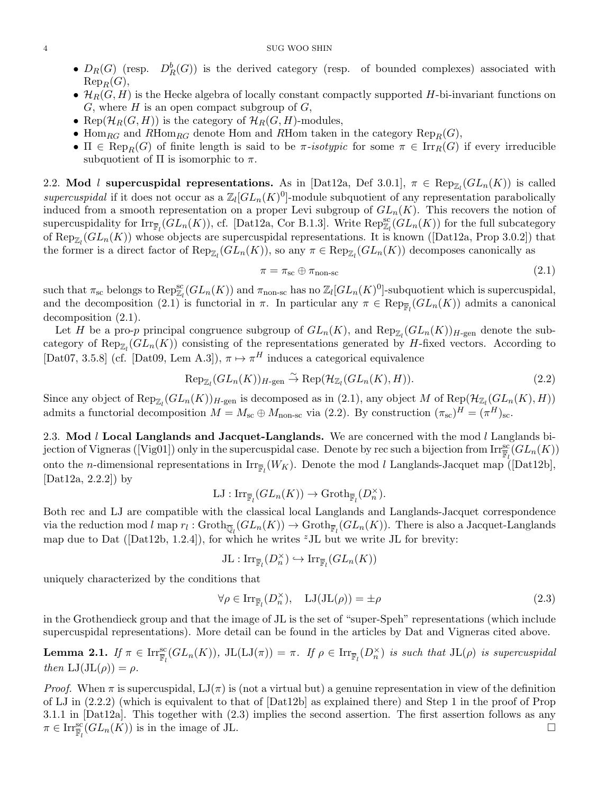- $D_R(G)$  (resp.  $D_R^b(G)$ ) is the derived category (resp. of bounded complexes) associated with  $\mathrm{Rep}_R(G)$ ,
- $\mathcal{H}_R(G, H)$  is the Hecke algebra of locally constant compactly supported H-bi-invariant functions on  $G$ , where  $H$  is an open compact subgroup of  $G$ ,
- Rep $(\mathcal{H}_R(G,H))$  is the category of  $\mathcal{H}_R(G,H)$ -modules,
- Hom<sub>RG</sub> and RHom<sub>RG</sub> denote Hom and RHom taken in the category  $\text{Rep}_R(G)$ ,
- $\Pi \in \text{Rep}_R(G)$  of finite length is said to be  $\pi$ -isotypic for some  $\pi \in \text{Irr}_R(G)$  if every irreducible subquotient of  $\Pi$  is isomorphic to  $\pi$ .

2.2. Mod l supercuspidal representations. As in [Dat12a, Def 3.0.1],  $\pi \in \text{Rep}_{\mathbb{Z}_l}(GL_n(K))$  is called supercuspidal if it does not occur as a  $\mathbb{Z}_l[GL_n(K)^0]$ -module subquotient of any representation parabolically induced from a smooth representation on a proper Levi subgroup of  $GL_n(K)$ . This recovers the notion of supercuspidality for  $\text{Irr}_{\overline{\mathbb{F}}_l}(GL_n(K))$ , cf. [Dat12a, Cor B.1.3]. Write  $\text{Rep}_{\mathbb{Z}_l}^{\text{sc}}(GL_n(K))$  for the full subcategory of  $\text{Rep}_{\mathbb{Z}_l}(GL_n(K))$  whose objects are supercuspidal representations. It is known ([Dat12a, Prop 3.0.2]) that the former is a direct factor of  $\text{Rep}_{\mathbb{Z}_l}(GL_n(K))$ , so any  $\pi \in \text{Rep}_{\mathbb{Z}_l}(GL_n(K))$  decomposes canonically as

$$
\pi = \pi_{\rm sc} \oplus \pi_{\rm non-sc} \tag{2.1}
$$

such that  $\pi_{\rm sc}$  belongs to  ${\rm Rep}^{\rm sc}_{\mathbb{Z}_l}(GL_n(K))$  and  $\pi_{\rm non-sc}$  has no  $\mathbb{Z}_l[GL_n(K)^0]$ -subquotient which is supercuspidal, and the decomposition (2.1) is functorial in  $\pi$ . In particular any  $\pi \in \text{Rep}_{\overline{\mathbb{F}}_l}(GL_n(K))$  admits a canonical decomposition (2.1).

Let H be a pro-p principal congruence subgroup of  $GL_n(K)$ , and  $\text{Rep}_{\mathbb{Z}_l}(GL_n(K))_{H\text{-gen}}$  denote the subcategory of  $\text{Rep}_{\mathbb{Z}_l}(GL_n(K))$  consisting of the representations generated by H-fixed vectors. According to [Dat07, 3.5.8] (cf. [Dat09, Lem A.3]),  $\pi \mapsto \pi^H$  induces a categorical equivalence

$$
\operatorname{Rep}_{\mathbb{Z}_l}(GL_n(K))_{H\text{-gen}} \xrightarrow{\sim} \operatorname{Rep}(\mathcal{H}_{\mathbb{Z}_l}(GL_n(K), H)).
$$
\n(2.2)

Since any object of  $\text{Rep}_{\mathbb{Z}_l}(GL_n(K))_{H\text{-gen}}$  is decomposed as in (2.1), any object M of  $\text{Rep}(\mathcal{H}_{\mathbb{Z}_l}(GL_n(K),H))$ admits a functorial decomposition  $M = M_{\text{sc}} \oplus M_{\text{non-sc}}$  via (2.2). By construction  $(\pi_{\text{sc}})^H = (\pi^H)_{\text{sc}}$ .

2.3. Mod  $l$  Local Langlands and Jacquet-Langlands. We are concerned with the mod  $l$  Langlands bijection of Vigneras ([Vig01]) only in the supercuspidal case. Denote by rec such a bijection from  $\mathrm{Irr}_{\mathbb{F}_l}^{sc}(GL_n(K))$ onto the *n*-dimensional representations in  $\text{Irr}_{\overline{\mathbb{F}}_l}(W_K)$ . Denote the mod *l* Langlands-Jacquet map ([Dat12b], [Dat12a, 2.2.2]) by

$$
LJ: \mathrm{Irr}_{\overline{\mathbb{F}}_l}(GL_n(K)) \to \mathrm{Groth}_{\overline{\mathbb{F}}_l}(D_n^{\times}).
$$

Both rec and LJ are compatible with the classical local Langlands and Langlands-Jacquet correspondence via the reduction mod l map  $r_l: \mathrm{Groth}_{\overline{\mathbb{Q}}_l}(GL_n(K)) \to \mathrm{Groth}_{\overline{\mathbb{F}}_l}(GL_n(K))$ . There is also a Jacquet-Langlands map due to Dat ( $[{\rm Dat12b, 1.2.4}]$ ), for which he writes <sup>z</sup>JL but we write JL for brevity:

$$
\operatorname{JL}:\operatorname{Irr}_{\overline{\mathbb{F}}_{l}}(D_{n}^{\times})\hookrightarrow\operatorname{Irr}_{\overline{\mathbb{F}}_{l}}(GL_{n}(K))
$$

uniquely characterized by the conditions that

$$
\forall \rho \in \text{Irr}_{\overline{\mathbb{F}}_l}(D_n^{\times}), \quad \text{LJ}(\text{JL}(\rho)) = \pm \rho \tag{2.3}
$$

in the Grothendieck group and that the image of JL is the set of "super-Speh" representations (which include supercuspidal representations). More detail can be found in the articles by Dat and Vigneras cited above.

**Lemma 2.1.** If  $\pi \in \text{Irr}_{\overline{\mathbb{F}}_l}^{\text{sc}}(GL_n(K))$ ,  $\text{JL}(\text{LJ}(\pi)) = \pi$ . If  $\rho \in \text{Irr}_{\overline{\mathbb{F}}_l}(D_n^{\times})$  is such that  $\text{JL}(\rho)$  is supercuspidal then  $LJ(JL(\rho)) = \rho$ .

*Proof.* When  $\pi$  is supercuspidal,  $LJ(\pi)$  is (not a virtual but) a genuine representation in view of the definition of LJ in (2.2.2) (which is equivalent to that of [Dat12b] as explained there) and Step 1 in the proof of Prop 3.1.1 in [Dat12a]. This together with (2.3) implies the second assertion. The first assertion follows as any  $\pi \in \text{Irr}_{\overline{\mathbb{F}}_l}^{\text{sc}}(GL_n(K))$  is in the image of JL.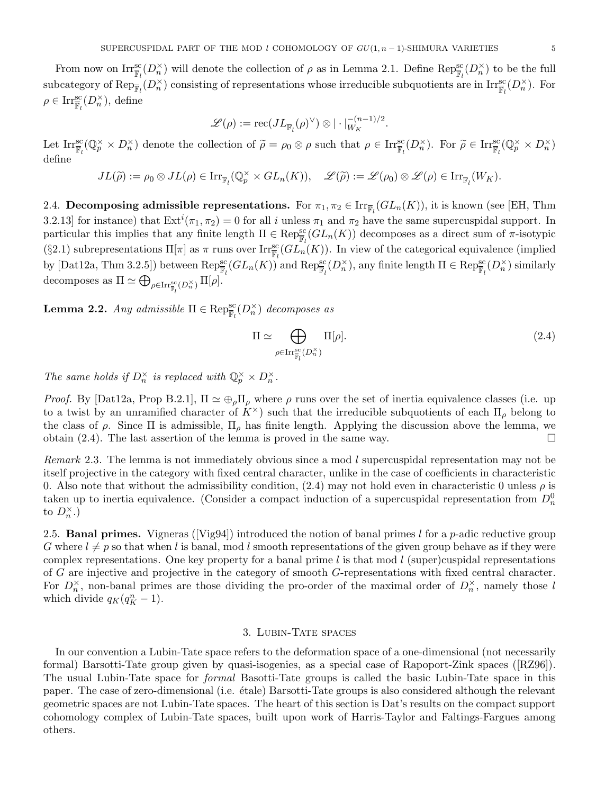From now on  $\text{Irr}_{\mathbb{F}_l}^{\text{sc}}(D_n^{\times})$  will denote the collection of  $\rho$  as in Lemma 2.1. Define  $\text{Rep}_{\mathbb{F}_l}^{\text{sc}}(D_n^{\times})$  to be the full subcategory of  $\mathrm{Rep}_{\overline{\mathbb{F}}_l}(D_n^{\times})$  consisting of representations whose irreducible subquotients are in  $\mathrm{Irr}_{\overline{\mathbb{F}}_l}(D_n^{\times})$ . For  $\rho \in \mathrm{Irr}_{\overline{\mathbb{F}}_l}^{\mathrm{sc}}(D_n^{\times}), \, \mathrm{define}$ 

$$
\mathscr{L}(\rho):=\mathrm{rec}(J L_{\overline{\mathbb{F}}_l}(\rho)^{\vee})\otimes |\cdot|_{W_K}^{-(n-1)/2}.
$$

Let  $\text{Irr}_{\overline{\mathbb{F}}_l}^{\text{sc}}(\mathbb{Q}_p^{\times} \times D_n^{\times})$  denote the collection of  $\widetilde{\rho} = \rho_0 \otimes \rho$  such that  $\rho \in \text{Irr}_{\overline{\mathbb{F}}_l}^{\text{sc}}(D_n^{\times})$ . For  $\widetilde{\rho} \in \text{Irr}_{\overline{\mathbb{F}}_l}^{\text{sc}}(\mathbb{Q}_p^{\times} \times D_n^{\times})$ define

$$
JL(\widetilde{\rho}) := \rho_0 \otimes JL(\rho) \in \text{Irr}_{\overline{\mathbb{F}}_l}(\mathbb{Q}_p^{\times} \times GL_n(K)), \quad \mathscr{L}(\widetilde{\rho}) := \mathscr{L}(\rho_0) \otimes \mathscr{L}(\rho) \in \text{Irr}_{\overline{\mathbb{F}}_l}(W_K).
$$

2.4. Decomposing admissible representations. For  $\pi_1, \pi_2 \in \text{Irr}_{\overline{\mathbb{F}}_l}(GL_n(K))$ , it is known (see [EH, Thm 3.2.13] for instance) that  $\text{Ext}^i(\pi_1, \pi_2) = 0$  for all i unless  $\pi_1$  and  $\pi_2$  have the same supercuspidal support. In particular this implies that any finite length  $\Pi \in \text{Rep}^{\text{sc}}_{\mathbb{F}_l}(GL_n(K))$  decomposes as a direct sum of  $\pi$ -isotypic (§2.1) subrepresentations  $\Pi[\pi]$  as  $\pi$  runs over  $\text{Irr}_{\overline{\mathbb{F}}_l}^{\text{sc}}(GL_n(K))$ . In view of the categorical equivalence (implied by  $[\text{Data12a}, \text{Thm 3.2.5}])$  between  $\text{Rep}_{\overline{\mathbb{F}}_l}^{\text{sc}}(GL_n(K))$  and  $\text{Rep}_{\overline{\mathbb{F}}_l}^{\text{sc}}(D_n^{\times})$ , any finite length  $\Pi \in \text{Rep}_{\overline{\mathbb{F}}_l}^{\text{sc}}(D_n^{\times})$  similarly decomposes as  $\Pi \simeq \bigoplus_{\rho \in \text{Irr}_{\overline{\mathbb{F}}_l}^{\text{sc}}(D_n^{\times})} \Pi[\rho].$ 

**Lemma 2.2.** Any admissible  $\Pi \in \text{Rep}_{\overline{\mathbb{F}}_l}^{\text{sc}}(D_n^{\times})$  decomposes as

$$
\Pi \simeq \bigoplus_{\rho \in \text{Irr}_{\overline{\mathbb{F}}_l}^{\text{sc}}(D_n^{\times})} \Pi[\rho].\tag{2.4}
$$

The same holds if  $D_n^{\times}$  is replaced with  $\mathbb{Q}_p^{\times} \times D_n^{\times}$ .

*Proof.* By [Dat12a, Prop B.2.1],  $\Pi \simeq \bigoplus_{\rho} \Pi_{\rho}$  where  $\rho$  runs over the set of inertia equivalence classes (i.e. up to a twist by an unramified character of  $K^{\times}$ ) such that the irreducible subquotients of each  $\Pi_{\rho}$  belong to the class of  $\rho$ . Since  $\Pi$  is admissible,  $\Pi_{\rho}$  has finite length. Applying the discussion above the lemma, we obtain (2.4). The last assertion of the lemma is proved in the same way.  $\square$ 

Remark 2.3. The lemma is not immediately obvious since a mod l supercuspidal representation may not be itself projective in the category with fixed central character, unlike in the case of coefficients in characteristic 0. Also note that without the admissibility condition,  $(2.4)$  may not hold even in characteristic 0 unless  $\rho$  is taken up to inertia equivalence. (Consider a compact induction of a supercuspidal representation from  $D_n^0$ to  $D_n^{\times}$ .)

2.5. **Banal primes.** Vigneras ([Vig94]) introduced the notion of banal primes l for a p-adic reductive group G where  $l \neq p$  so that when l is banal, mod l smooth representations of the given group behave as if they were complex representations. One key property for a banal prime  $l$  is that mod  $l$  (super)cuspidal representations of G are injective and projective in the category of smooth G-representations with fixed central character. For  $D_n^{\times}$ , non-banal primes are those dividing the pro-order of the maximal order of  $D_n^{\times}$ , namely those l which divide  $q_K(q_K^n - 1)$ .

#### 3. Lubin-Tate spaces

In our convention a Lubin-Tate space refers to the deformation space of a one-dimensional (not necessarily formal) Barsotti-Tate group given by quasi-isogenies, as a special case of Rapoport-Zink spaces ([RZ96]). The usual Lubin-Tate space for formal Basotti-Tate groups is called the basic Lubin-Tate space in this paper. The case of zero-dimensional (i.e. ´etale) Barsotti-Tate groups is also considered although the relevant geometric spaces are not Lubin-Tate spaces. The heart of this section is Dat's results on the compact support cohomology complex of Lubin-Tate spaces, built upon work of Harris-Taylor and Faltings-Fargues among others.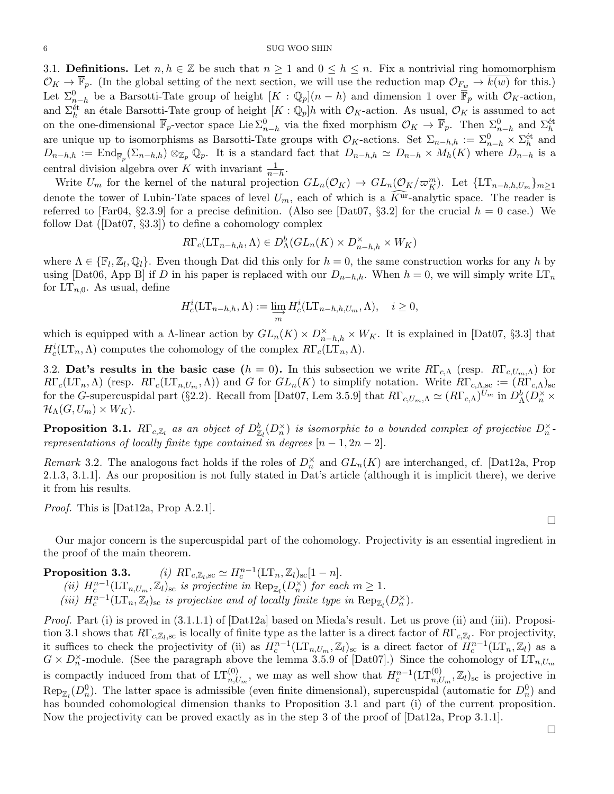3.1. Definitions. Let  $n, h \in \mathbb{Z}$  be such that  $n \geq 1$  and  $0 \leq h \leq n$ . Fix a nontrivial ring homomorphism  $\mathcal{O}_K \to \overline{\mathbb{F}}_p$ . (In the global setting of the next section, we will use the reduction map  $\mathcal{O}_{F_w} \to k(w)$  for this.) Let  $\Sigma_{n-h}^0$  be a Barsotti-Tate group of height  $[K : \mathbb{Q}_p](n-h)$  and dimension 1 over  $\overline{\mathbb{F}}_p$  with  $\mathcal{O}_K$ -action, and  $\Sigma_h^{\text{\'et}}$  an étale Barsotti-Tate group of height  $[K:\mathbb{Q}_p]h$  with  $\mathcal{O}_K$ -action. As usual,  $\mathcal{O}_K$  is assumed to act on the one-dimensional  $\overline{\mathbb{F}}_p$ -vector space Lie  $\Sigma_{n-h}^0$  via the fixed morphism  $\mathcal{O}_K \to \overline{\mathbb{F}}_p$ . Then  $\Sigma_{n-h}^0$  and  $\Sigma_h^{\text{\'et}}$ are unique up to isomorphisms as Barsotti-Tate groups with  $\mathcal{O}_K$ -actions. Set  $\Sigma_{n-h,h} := \Sigma_{n-h}^0 \times \Sigma_h^{\text{\'et}}$  and  $D_{n-h,h} := \text{End}_{\overline{\mathbb{F}}_p}(\Sigma_{n-h,h}) \otimes_{\mathbb{Z}_p} \mathbb{Q}_p$ . It is a standard fact that  $D_{n-h,h} \simeq D_{n-h} \times M_h(K)$  where  $D_{n-h}$  is a central division algebra over K with invariant  $\frac{1}{n-h}$ .

Write  $U_m$  for the kernel of the natural projection  $GL_n(\mathcal{O}_K) \to GL_n(\mathcal{O}_K/\varpi_K^m)$ . Let  $\{LT_{n-h,h,U_m}\}_{m\geq 1}$ denote the tower of Lubin-Tate spaces of level  $U_m$ , each of which is a  $\tilde{K}^{\tilde{ur}}$ -analytic space. The reader is referred to [Far04, §2.3.9] for a precise definition. (Also see [Dat07, §3.2] for the crucial  $h = 0$  case.) We follow Dat ( $[Det07, \S3.3]$ ) to define a cohomology complex

$$
R\Gamma_c(\mathop{\rm LT}\nolimits_{n-h,h}, \Lambda) \in D^b_\Lambda(GL_n(K) \times D^{\times}_{n-h,h} \times W_K)
$$

where  $\Lambda \in \{\mathbb{F}_l, \mathbb{Z}_l, \mathbb{Q}_l\}$ . Even though Dat did this only for  $h = 0$ , the same construction works for any h by using [Dat06, App B] if D in his paper is replaced with our  $D_{n-h,h}$ . When  $h = 0$ , we will simply write  $LT_n$ for  $LT_{n,0}$ . As usual, define

$$
H_c^i(\mathop{\rm LT}\nolimits_{n-h,h}, \Lambda) := \varinjlim_m H_c^i(\mathop{\rm LT}\nolimits_{n-h,h,U_m}, \Lambda), \quad i \ge 0,
$$

which is equipped with a  $\Lambda$ -linear action by  $GL_n(K) \times D^{\times}_{n-h,h} \times W_K$ . It is explained in [Dat07, §3.3] that  $H_c^i(\mathop{\rm LT}\nolimits_n,\Lambda)$  computes the cohomology of the complex  $R\Gamma_c(\mathop{\rm LT}\nolimits_n,\Lambda)$ .

3.2. Dat's results in the basic case  $(h = 0)$ . In this subsection we write  $R\Gamma_{c,\Lambda}$  (resp.  $R\Gamma_{c,U_m,\Lambda}$ ) for  $R\Gamma_c(\mathop{\rm LT}\nolimits_n,\Lambda)$  (resp.  $R\Gamma_c(\mathop{\rm LT}\nolimits_{n,U_m},\Lambda)$ ) and G for  $GL_n(K)$  to simplify notation. Write  $R\Gamma_{c,\Lambda,\text{sc}}:=(R\Gamma_{c,\Lambda})_{\text{sc}}$ for the G-supercuspidal part (§2.2). Recall from [Dat07, Lem 3.5.9] that  $R\Gamma_{c, U_m, \Lambda} \simeq (R\Gamma_{c,\Lambda})^{U_m}$  in  $D_{\Lambda}^b(D_n^{\times} \times D_n)$  $\mathcal{H}_{\Lambda}(G, U_m) \times W_K$ ).

**Proposition 3.1.**  $R\Gamma_{c,\mathbb{Z}_l}$  as an object of  $D^b_{\mathbb{Z}_l}(D^{\times}_n)$  is isomorphic to a bounded complex of projective  $D^{\times}_n$ . representations of locally finite type contained in degrees  $[n-1, 2n-2]$ .

Remark 3.2. The analogous fact holds if the roles of  $D_n^{\times}$  and  $GL_n(K)$  are interchanged, cf. [Dat12a, Prop 2.1.3, 3.1.1]. As our proposition is not fully stated in Dat's article (although it is implicit there), we derive it from his results.

Proof. This is [Dat12a, Prop A.2.1].

Our major concern is the supercuspidal part of the cohomology. Projectivity is an essential ingredient in the proof of the main theorem.

Proposition 3.3.  $S_{\rm sc} \simeq H_c^{n-1}(\mathop{\rm LT}\nolimits_n, \mathbb{Z}_l)_{\rm sc}[1-n].$ (ii)  $H_c^{n-1}(\mathop{\rm LT}\nolimits_{n,U_m}, \mathbb{Z}_l)_{\rm sc}$  is projective in  ${\rm Rep}_{\mathbb{Z}_l}(D_n^{\times})$  for each  $m \geq 1$ . (iii)  $H_c^{n-1}(\mathop{\rm LT}\nolimits_n,\mathbb{Z}_l)_{\rm sc}$  is projective and of locally finite type in  ${\rm Rep}_{\mathbb{Z}_l}(D_n^{\times}).$ 

Proof. Part (i) is proved in  $(3.1.1.1)$  of  $[Det12a]$  based on Mieda's result. Let us prove (ii) and (iii). Proposition 3.1 shows that  $R\Gamma_{c,\mathbb{Z}_l,sc}$  is locally of finite type as the latter is a direct factor of  $R\Gamma_{c,\mathbb{Z}_l}$ . For projectivity, it suffices to check the projectivity of (ii) as  $H_c^{n-1}(\mathop{\rm LT}\nolimits_{n,U_m}, \mathbb{Z}_l)_{\rm sc}$  is a direct factor of  $H_c^{n-1}(\mathop{\rm LT}\nolimits_n, \mathbb{Z}_l)$  as a  $G \times D_n^{\times}$ -module. (See the paragraph above the lemma 3.5.9 of [Dat07].) Since the cohomology of  $LT_{n,U_m}$ is compactly induced from that of  $LT_{n,U_m}^{(0)}$ , we may as well show that  $H_c^{n-1}(LT_{n,U_m}^{(0)},\mathbb{Z}_l)_{\rm sc}$  is projective in  $\text{Rep}_{\mathbb{Z}_l}(D_n^0)$ . The latter space is admissible (even finite dimensional), supercuspidal (automatic for  $D_n^0$ ) and has bounded cohomological dimension thanks to Proposition 3.1 and part (i) of the current proposition. Now the projectivity can be proved exactly as in the step 3 of the proof of [Dat12a, Prop 3.1.1].

 $\Box$ 

 $\Box$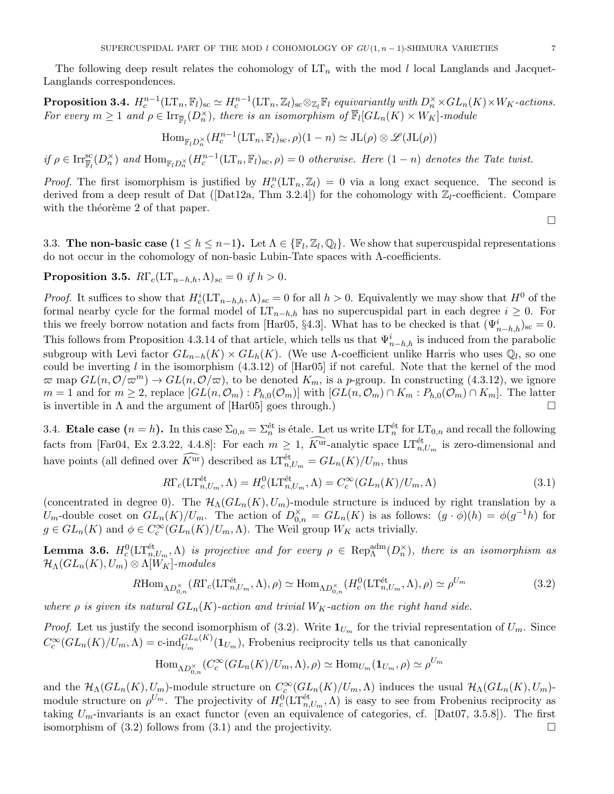The following deep result relates the cohomology of  $LT_n$  with the mod l local Langlands and Jacquet-Langlands correspondences.

**Proposition 3.4.**  $H_c^{n-1}(\mathop{\rm LT}\nolimits_n,\mathbb{F}_l)_{\rm sc}\simeq H_c^{n-1}(\mathop{\rm LT}\nolimits_n,\mathbb{Z}_l)_{\rm sc} \otimes_{\mathbb{Z}_l} \mathbb{F}_l$  equivariantly with  $D_n^{\times} \times GL_n(K) \times W_K$ -actions. For every  $m \geq 1$  and  $\rho \in \text{Irr}_{\overline{\mathbb{F}}_l}(D_n^{\times})$ , there is an isomorphism of  $\overline{\mathbb{F}}_l[GL_n(K) \times W_K]$ -module

$$
\mathrm{Hom}_{\mathbb{F}_l D_n^{\times}}(H_c^{n-1}(\mathrm{LT}_n, \mathbb{F}_l)_{\mathrm{sc}}, \rho)(1-n) \simeq \mathrm{JL}(\rho) \otimes \mathscr{L}(\mathrm{JL}(\rho))
$$

if  $\rho \in \text{Irr}_{\overline{\mathbb{F}}_l}^{\text{sc}}(D_n^{\times})$  and  $\text{Hom}_{\mathbb{F}_l D_n^{\times}}(H_c^{n-1}(\text{LT}_n, \mathbb{F}_l)_{\text{sc}}, \rho) = 0$  otherwise. Here  $(1 - n)$  denotes the Tate twist.

*Proof.* The first isomorphism is justified by  $H_c^n(\mathop{\rm LT}\nolimits_n, \mathbb{Z}_l) = 0$  via a long exact sequence. The second is derived from a deep result of Dat ([Dat12a, Thm 3.2.4]) for the cohomology with  $\mathbb{Z}_l$ -coefficient. Compare with the theoreme 2 of that paper.

 $\Box$ 

3.3. The non-basic case  $(1 \leq h \leq n-1)$ . Let  $\Lambda \in {\mathbb{F}}_l, {\mathbb{Z}}_l, {\mathbb{Q}}_l$ . We show that supercuspidal representations do not occur in the cohomology of non-basic Lubin-Tate spaces with Λ-coefficients.

**Proposition 3.5.**  $R\Gamma_c(LT_{n-h,h},\Lambda)_{sc} = 0$  if  $h > 0$ .

*Proof.* It suffices to show that  $H_c^i(\mathop{\rm LT}\nolimits_{n-h,h},\Lambda)_{sc}=0$  for all  $h>0$ . Equivalently we may show that  $H^0$  of the formal nearby cycle for the formal model of  $LT_{n-h,h}$  has no supercuspidal part in each degree  $i \geq 0$ . For this we freely borrow notation and facts from [Har05, §4.3]. What has to be checked is that  $(\Psi_{n-h,h}^i)_{\rm sc} = 0$ . This follows from Proposition 4.3.14 of that article, which tells us that  $\Psi^i_{n-h,h}$  is induced from the parabolic subgroup with Levi factor  $GL_{n-h}(K) \times GL_h(K)$ . (We use  $\Lambda$ -coefficient unlike Harris who uses  $\mathbb{Q}_l$ , so one could be inverting l in the isomorphism  $(4.3.12)$  of  $[\text{Har05}]$  if not careful. Note that the kernel of the mod  $\varpi$  map  $GL(n, \mathcal{O}/\varpi^m) \to GL(n, \mathcal{O}/\varpi)$ , to be denoted  $K_m$ , is a p-group. In constructing (4.3.12), we ignore  $m = 1$  and for  $m \geq 2$ , replace  $[GL(n, \mathcal{O}_m) : P_{h,0}(\mathcal{O}_m)]$  with  $[GL(n, \mathcal{O}_m) \cap K_m : P_{h,0}(\mathcal{O}_m) \cap K_m]$ . The latter is invertible in  $\Lambda$  and the argument of  $\text{[Har05]}$  goes through.)

3.4. Etale case  $(n = h)$ . In this case  $\Sigma_{0,n} = \Sigma_n^{\text{\'et}}$  is étale. Let us write  $LT_n^{\text{\'et}}$  for  $LT_{0,n}$  and recall the following facts from [Far04, Ex 2.3.22, 4.4.8]: For each  $m \geq 1$ ,  $\widehat{K^{\text{ur}}}$ -analytic space  $\mathrm{LT}^{\text{\'et}}_{n,U_m}$  is zero-dimensional and have points (all defined over  $\widehat{K^{\text{ur}}}$ ) described as  $\mathrm{LT}^{\text{\'et}}_{n,U_m} = GL_n(K)/U_m$ , thus

$$
R\Gamma_c(\mathop{\rm LT}\nolimits_{n,U_m}^{\text{\'et}},\Lambda) = H_c^0(\mathop{\rm LT}\nolimits_{n,U_m}^{\text{\'et}},\Lambda) = C_c^\infty(GL_n(K)/U_m,\Lambda)
$$
\n(3.1)

(concentrated in degree 0). The  $\mathcal{H}_{\Lambda}(GL_n(K), U_m)$ -module structure is induced by right translation by a U<sub>m</sub>-double coset on  $GL_n(K)/U_m$ . The action of  $D_{0,n}^{\times} = GL_n(K)$  is as follows:  $(g \cdot \phi)(h) = \phi(g^{-1}h)$  for  $g \in GL_n(K)$  and  $\phi \in C_c^{\infty}(GL_n(K)/U_m,\Lambda)$ . The Weil group  $W_K$  acts trivially.

**Lemma 3.6.**  $H_c^0(\mathrm{LT}_{n, U_m}^{\text{\'et}}, \Lambda)$  is projective and for every  $\rho \in \mathrm{Rep}_{\Lambda}^{\mathrm{adm}}(D_n^{\times})$ , there is an isomorphism as  $\mathcal{H}_{\Lambda}(GL_n(K), U_m) \otimes \Lambda[W_K]$ -modules

$$
R\text{Hom}_{\Lambda D_{0,n}^{\times}}(R\Gamma_c(\text{LT}_{n,U_m}^{\text{\'et}},\Lambda),\rho) \simeq \text{Hom}_{\Lambda D_{0,n}^{\times}}(H_c^0(\text{LT}_{n,U_m}^{\text{\'et}},\Lambda),\rho) \simeq \rho^{U_m}
$$
(3.2)

where  $\rho$  is given its natural  $GL_n(K)$ -action and trivial  $W_K$ -action on the right hand side.

*Proof.* Let us justify the second isomorphism of (3.2). Write  $\mathbf{1}_{U_m}$  for the trivial representation of  $U_m$ . Since  $C_c^{\infty}(GL_n(K)/U_m,\Lambda) = \text{c-ind}_{U_m}^{GL_n(K)}(\mathbf{1}_{U_m})$ , Frobenius reciprocity tells us that canonically

$$
\text{Hom}_{\text{AD}^{\times}_{0,n}}(C_c^{\infty}(GL_n(K)/U_m,\Lambda),\rho) \simeq \text{Hom}_{U_m}(\mathbf{1}_{U_m},\rho) \simeq \rho^{U_m}
$$

and the  $\mathcal{H}_{\Lambda}(GL_n(K), U_m)$ -module structure on  $C_c^{\infty}(GL_n(K)/U_m, \Lambda)$  induces the usual  $\mathcal{H}_{\Lambda}(GL_n(K), U_m)$ module structure on  $\rho^{U_m}$ . The projectivity of  $H_c^0(\mathrm{LT}_{n,U_m}^{\text{\'et}},\Lambda)$  is easy to see from Frobenius reciprocity as taking  $U_m$ -invariants is an exact functor (even an equivalence of categories, cf. [Dat07, 3.5.8]). The first isomorphism of  $(3.2)$  follows from  $(3.1)$  and the projectivity.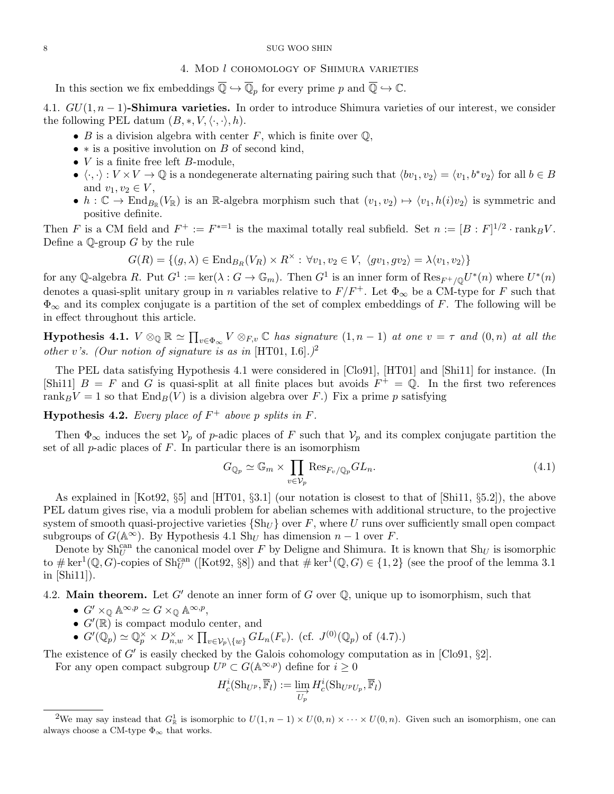### 8 SUG WOO SHIN

## 4. Mod l cohomology of Shimura varieties

In this section we fix embeddings  $\overline{\mathbb{Q}} \hookrightarrow \overline{\mathbb{Q}}_p$  for every prime p and  $\overline{\mathbb{Q}} \hookrightarrow \mathbb{C}$ .

4.1.  $GU(1, n-1)$ -Shimura varieties. In order to introduce Shimura varieties of our interest, we consider the following PEL datum  $(B, *, V, \langle \cdot, \cdot \rangle, h)$ .

- B is a division algebra with center F, which is finite over  $\mathbb{Q}$ ,
- $\bullet *$  is a positive involution on B of second kind,
- $V$  is a finite free left  $B$ -module,
- $\langle \cdot, \cdot \rangle : V \times V \to \mathbb{Q}$  is a nondegenerate alternating pairing such that  $\langle bv_1, v_2 \rangle = \langle v_1, b^*v_2 \rangle$  for all  $b \in B$ and  $v_1, v_2 \in V$ ,
- $h: \mathbb{C} \to \text{End}_{B_{\mathbb{R}}}(V_{\mathbb{R}})$  is an R-algebra morphism such that  $(v_1, v_2) \mapsto \langle v_1, h(i)v_2 \rangle$  is symmetric and positive definite.

Then F is a CM field and  $F^+ := F^{*-1}$  is the maximal totally real subfield. Set  $n := [B : F]^{1/2} \cdot \text{rank}_B V$ . Define a  $\mathbb Q$ -group G by the rule

$$
G(R) = \{(g, \lambda) \in \text{End}_{B_R}(V_R) \times R^{\times} : \forall v_1, v_2 \in V, \ \langle gv_1, gv_2 \rangle = \lambda \langle v_1, v_2 \rangle \}
$$

for any Q-algebra R. Put  $G^1 := \ker(\lambda : G \to \mathbb{G}_m)$ . Then  $G^1$  is an inner form of  $\text{Res}_{F^+/\mathbb{Q}} U^*(n)$  where  $U^*(n)$ denotes a quasi-split unitary group in n variables relative to  $F/F^+$ . Let  $\Phi_{\infty}$  be a CM-type for F such that  $\Phi_{\infty}$  and its complex conjugate is a partition of the set of complex embeddings of F. The following will be in effect throughout this article.

**Hypothesis 4.1.**  $V \otimes_{\mathbb{Q}} \mathbb{R} \simeq \prod_{v \in \Phi_{\infty}} V \otimes_{F,v} \mathbb{C}$  has signature  $(1, n - 1)$  at one  $v = \tau$  and  $(0, n)$  at all the other v's. (Our notion of signature is as in [HT01, I.6].)<sup>2</sup>

The PEL data satisfying Hypothesis 4.1 were considered in [Clo91], [HT01] and [Shi11] for instance. (In [Shi11]  $B = F$  and G is quasi-split at all finite places but avoids  $F^+ = \mathbb{Q}$ . In the first two references rank ${}_BV = 1$  so that  $\text{End}_B(V)$  is a division algebra over F.) Fix a prime p satisfying

**Hypothesis 4.2.** Every place of  $F^+$  above p splits in F.

Then  $\Phi_{\infty}$  induces the set  $\mathcal{V}_p$  of p-adic places of F such that  $\mathcal{V}_p$  and its complex conjugate partition the set of all  $p$ -adic places of  $F$ . In particular there is an isomorphism

$$
G_{\mathbb{Q}_p} \simeq \mathbb{G}_m \times \prod_{v \in \mathcal{V}_p} \text{Res}_{F_v/\mathbb{Q}_p} GL_n. \tag{4.1}
$$

As explained in [Kot92, §5] and [HT01, §3.1] (our notation is closest to that of [Shi11, §5.2]), the above PEL datum gives rise, via a moduli problem for abelian schemes with additional structure, to the projective system of smooth quasi-projective varieties  $\{Sh_U\}$  over F, where U runs over sufficiently small open compact subgroups of  $G(\mathbb{A}^{\infty})$ . By Hypothesis 4.1 Sh<sub>U</sub> has dimension  $n-1$  over F.

Denote by  $\text{Sh}_{U}^{\text{can}}$  the canonical model over F by Deligne and Shimura. It is known that  $\text{Sh}_{U}$  is isomorphic to  $\# \ker^1(\mathbb{Q}, G)$ -copies of  $\text{Sh}_U^{\text{can}}$  ([Kot92, §8]) and that  $\# \ker^1(\mathbb{Q}, G) \in \{1,2\}$  (see the proof of the lemma 3.1 in [Shi11]).

4.2. Main theorem. Let G' denote an inner form of G over  $\mathbb Q$ , unique up to isomorphism, such that

- $G' \times_{\mathbb{Q}} \mathbb{A}^{\infty, p} \simeq G \times_{\mathbb{Q}} \mathbb{A}^{\infty, p},$
- $G'(\mathbb{R})$  is compact modulo center, and
- $G'(\mathbb{Q}_p) \simeq \mathbb{Q}_p^{\times} \times D_{n,w}^{\times} \times \prod_{v \in \mathcal{V}_p \setminus \{w\}} GL_n(F_v)$ . (cf.  $J^{(0)}(\mathbb{Q}_p)$  of (4.7).)

The existence of  $G'$  is easily checked by the Galois cohomology computation as in [Clo91,  $\S2$ ].

For any open compact subgroup  $U^p \subset G(\mathbb{A}^{\infty,p})$  define for  $i \geq 0$ 

$$
H^i_c({\operatorname{Sh}}_{U^p}, \overline{\mathbb{F}}_l):=\varinjlim_{U_p} H^i_c({\operatorname{Sh}}_{U^pU_p}, \overline{\mathbb{F}}_l)
$$

<sup>&</sup>lt;sup>2</sup>We may say instead that  $G_{\mathbb{R}}^1$  is isomorphic to  $U(1, n-1) \times U(0, n) \times \cdots \times U(0, n)$ . Given such an isomorphism, one can always choose a CM-type  $\Phi_{\infty}$  that works.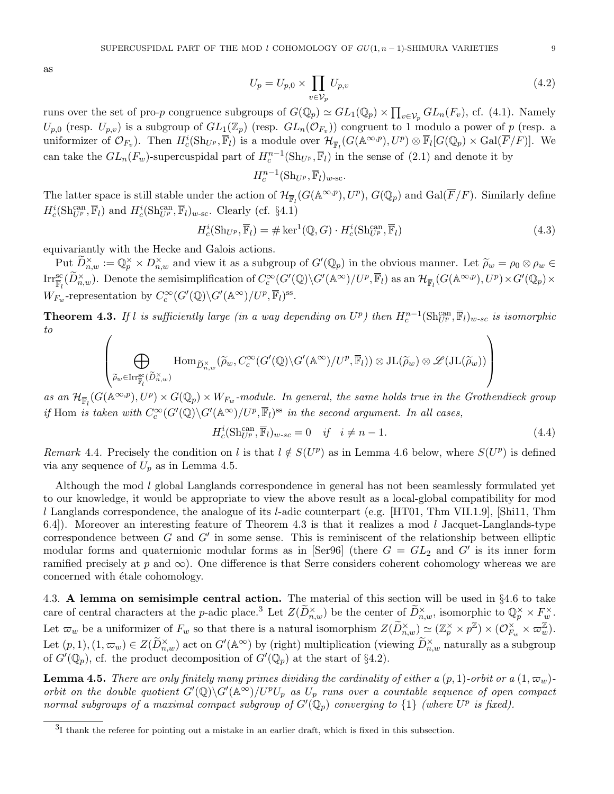as

$$
U_p = U_{p,0} \times \prod_{v \in \mathcal{V}_p} U_{p,v}
$$
\n
$$
\tag{4.2}
$$

runs over the set of pro-p congruence subgroups of  $G(\mathbb{Q}_p) \simeq GL_1(\mathbb{Q}_p) \times \prod_{v \in \mathcal{V}_p} GL_n(F_v)$ , cf. (4.1). Namely  $U_{p,0}$  (resp.  $U_{p,v}$ ) is a subgroup of  $GL_1(\mathbb{Z}_p)$  (resp.  $GL_n(\mathcal{O}_{F_v})$ ) congruent to 1 modulo a power of p (resp. a uniformizer of  $\mathcal{O}_{F_v}$ ). Then  $H_c^i(\text{Sh}_{U^p}, \overline{\mathbb{F}}_l)$  is a module over  $\mathcal{H}_{\overline{\mathbb{F}}_l}(G(\mathbb{A}^{\infty, p}), U^p) \otimes \overline{\mathbb{F}}_l[G(\mathbb{Q}_p) \times \text{Gal}(\overline{F}/F)]$ . We can take the  $GL_n(F_w)$ -supercuspidal part of  $H_c^{n-1}(\text{Sh}_{U^p}, \overline{\mathbb{F}}_l)$  in the sense of  $(2.1)$  and denote it by

 $H_c^{n-1}(\operatorname{Sh}_{U^p}, \overline{\mathbb{F}}_l)_{w\text{-sc}}.$ 

The latter space is still stable under the action of  $\mathcal{H}_{\overline{\mathbb{F}}_l}(G(\mathbb{A}^{\infty,p}), U^p)$ ,  $G(\mathbb{Q}_p)$  and  $\text{Gal}(\overline{F}/F)$ . Similarly define  $H_c^i(\text{Sh}_{U^p}^{\text{can}}, \overline{\mathbb{F}}_l)$  and  $H_c^i(\text{Sh}_{U^p}^{\text{can}}, \overline{\mathbb{F}}_l)_{w-\text{sc}}$ . Clearly (cf. §4.1)

$$
H_c^i(\text{Sh}_{U^p}, \overline{\mathbb{F}}_l) = \# \ker^1(\mathbb{Q}, G) \cdot H_c^i(\text{Sh}_{U^p}^{\text{can}}, \overline{\mathbb{F}}_l)
$$
(4.3)

equivariantly with the Hecke and Galois actions.

Put  $\widetilde{D}_{n,w}^{\times} := \mathbb{Q}_p^{\times} \times D_{n,w}^{\times}$  and view it as a subgroup of  $G'(\mathbb{Q}_p)$  in the obvious manner. Let  $\widetilde{\rho}_w = \rho_0 \otimes \rho_w \in \widetilde{S}(\widetilde{\Omega}^{\times})$ .  $\mathrm{Irr}_{\overline{\mathbb{F}}_l}^{\mathrm{sc}}(\widetilde{D}_{n,w}^{\times}).$  Denote the semisimplification of  $C_c^{\infty}(G'(\mathbb{Q})\backslash G'(\mathbb{A}^{\infty})/U^p, \overline{\mathbb{F}}_l)$  as an  $\mathcal{H}_{\overline{\mathbb{F}}_l}(G(\mathbb{A}^{\infty,p}), U^p) \times G'(\mathbb{Q}_p) \times$  $W_{F_w}$ -representation by  $C_c^{\infty}(G'(\mathbb{Q})\backslash G'(\mathbb{A}^{\infty})/U^p, \overline{\mathbb{F}}_l)^{\text{ss}}$ .

**Theorem 4.3.** If l is sufficiently large (in a way depending on  $U^p$ ) then  $H_c^{n-1}(\text{Sh}_{U^p}^{\text{can}}, \overline{\mathbb{F}}_l)_{w\text{-sc}}$  is isomorphic to

$$
\left(\bigoplus_{\widetilde{\rho}_w\in \mathrm{Irr}_{\overline{\mathbb{F}}_l}^{\mathrm{sc}}(\widetilde{D}_{n,w}^\times)}\mathrm{Hom}_{\widetilde{D}_{n,w}^\times(\widetilde{\rho}_w,C^\infty_c(G'(\mathbb{Q})\backslash G'(\mathbb{A}^\infty)/U^p,\overline{\mathbb{F}}_l))\otimes \mathrm{JL}(\widetilde{\rho}_w)\otimes\mathscr{L}(\mathrm{JL}(\widetilde{\rho}_w))\right)
$$

as an  $\mathcal{H}_{\overline{\mathbb{F}}_l}(G(\mathbb{A}^{\infty,p}), U^p) \times G(\mathbb{Q}_p) \times W_{F_w}$ -module. In general, the same holds true in the Grothendieck group if Hom is taken with  $C_c^{\infty}(G'(\mathbb{Q})\backslash G'(\mathbb{A}^{\infty})/U^p, \overline{\mathbb{F}}_l)^{ss}$  in the second argument. In all cases,

$$
H_c^i(\text{Sh}_{U^p}^{\text{can}}, \overline{\mathbb{F}}_l)_{w\text{-}sc} = 0 \quad \text{if} \quad i \neq n-1. \tag{4.4}
$$

Remark 4.4. Precisely the condition on l is that  $l \notin S(U^p)$  as in Lemma 4.6 below, where  $S(U^p)$  is defined via any sequence of  $U_p$  as in Lemma 4.5.

Although the mod l global Langlands correspondence in general has not been seamlessly formulated yet to our knowledge, it would be appropriate to view the above result as a local-global compatibility for mod l Langlands correspondence, the analogue of its l-adic counterpart (e.g.  $[HT01, Thm VII.1.9]$ , [Shi11, Thm 6.4]). Moreover an interesting feature of Theorem 4.3 is that it realizes a mod l Jacquet-Langlands-type correspondence between  $G$  and  $G'$  in some sense. This is reminiscent of the relationship between elliptic modular forms and quaternionic modular forms as in [Ser96] (there  $G = GL_2$  and  $G'$  is its inner form ramified precisely at p and  $\infty$ ). One difference is that Serre considers coherent cohomology whereas we are concerned with  $\acute{e}t$  ale cohomology.

4.3. A lemma on semisimple central action. The material of this section will be used in  $\S 4.6$  to take care of central characters at the p-adic place.<sup>3</sup> Let  $Z(\widetilde{D}_{n,w}^{\times})$  be the center of  $\widetilde{D}_{n,w}^{\times}$ , isomorphic to  $\mathbb{Q}_p^{\times} \times F_w^{\times}$ . Let  $\varpi_w$  be a uniformizer of  $F_w$  so that there is a natural isomorphism  $Z(\widetilde{D}_{n,w}^\times) \simeq (\mathbb{Z}_p^\times \times p^\mathbb{Z}) \times (\mathcal{O}_{F_n}^\times)$  $\mathop{\times}\limits^{\times}_{F_w}\times \mathop{\varpi_w}\limits^{\mathbb{Z}}).$ Let  $(p, 1), (1, \varpi_w) \in Z(\widetilde{D}_{n,w}^{\times})$  act on  $G'(\mathbb{A}^{\infty})$  by (right) multiplication (viewing  $\widetilde{D}_{n,w}^{\times}$  naturally as a subgroup of  $G'(\mathbb{Q}_p)$ , cf. the product decomposition of  $G'(\mathbb{Q}_p)$  at the start of §4.2).

**Lemma 4.5.** There are only finitely many primes dividing the cardinality of either a  $(p, 1)$ -orbit or a  $(1, \varpi_w)$ orbit on the double quotient  $G'(\mathbb{Q})\backslash G'(\mathbb{A}^{\infty})/U^pU_p$  as  $U_p$  runs over a countable sequence of open compact normal subgroups of a maximal compact subgroup of  $G'(\mathbb{Q}_p)$  converging to  $\{1\}$  (where  $U^p$  is fixed).

<sup>&</sup>lt;sup>3</sup>I thank the referee for pointing out a mistake in an earlier draft, which is fixed in this subsection.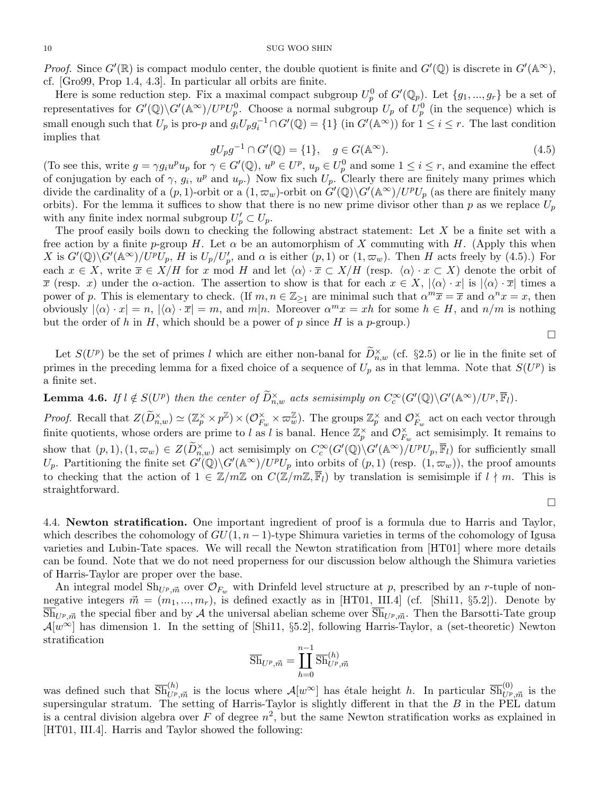#### 10 SUG WOO SHIN

*Proof.* Since  $G'(\mathbb{R})$  is compact modulo center, the double quotient is finite and  $G'(\mathbb{Q})$  is discrete in  $G'(\mathbb{A}^{\infty})$ , cf. [Gro99, Prop 1.4, 4.3]. In particular all orbits are finite.

Here is some reduction step. Fix a maximal compact subgroup  $U_p^0$  of  $G'(\mathbb{Q}_p)$ . Let  $\{g_1, ..., g_r\}$  be a set of representatives for  $G'(\mathbb{Q})\backslash G'(\mathbb{A}^{\infty})/U^pU_p^0$ . Choose a normal subgroup  $U_p$  of  $U_p^0$  (in the sequence) which is small enough such that  $U_p$  is pro-p and  $g_iU_pg_i^{-1} \cap G'(\mathbb{Q}) = \{1\}$  (in  $G'(\mathbb{A}^{\infty})$ ) for  $1 \le i \le r$ . The last condition implies that

$$
gU_p g^{-1} \cap G'(\mathbb{Q}) = \{1\}, \quad g \in G(\mathbb{A}^{\infty}).
$$
\n(4.5)

(To see this, write  $g = \gamma g_i u^p u_p$  for  $\gamma \in G'(\mathbb{Q}), u^p \in U^p$ ,  $u_p \in U^0_p$  and some  $1 \leq i \leq r$ , and examine the effect of conjugation by each of  $\gamma$ ,  $g_i$ ,  $u^p$  and  $u_p$ .) Now fix such  $U_p$ . Clearly there are finitely many primes which divide the cardinality of a  $(p, 1)$ -orbit or a  $(1, \varpi_w)$ -orbit on  $G'(\mathbb{Q})\backslash G'(\mathbb{A}^{\infty})/U^pU_p$  (as there are finitely many orbits). For the lemma it suffices to show that there is no new prime divisor other than p as we replace  $U_p$ with any finite index normal subgroup  $U'_p \subset U_p$ .

The proof easily boils down to checking the following abstract statement: Let  $X$  be a finite set with a free action by a finite p-group H. Let  $\alpha$  be an automorphism of X commuting with H. (Apply this when X is  $G'(\mathbb{Q})\backslash G'(\mathbb{A}^{\infty})/U^pU_p$ , H is  $U_p/U'_p$ , and  $\alpha$  is either  $(p,1)$  or  $(1,\varpi_w)$ . Then H acts freely by  $(4.5)$ .) For each  $x \in X$ , write  $\overline{x} \in X/H$  for x mod H and let  $\langle \alpha \rangle \cdot \overline{x} \subset X/H$  (resp.  $\langle \alpha \rangle \cdot x \subset X$ ) denote the orbit of  $\overline{x}$  (resp. x) under the  $\alpha$ -action. The assertion to show is that for each  $x \in X$ ,  $\langle \alpha \rangle \cdot x$  is  $\langle \alpha \rangle \cdot \overline{x}$  times a power of p. This is elementary to check. (If  $m, n \in \mathbb{Z}_{\geq 1}$  are minimal such that  $\alpha^m \overline{x} = \overline{x}$  and  $\alpha^n x = x$ , then obviously  $|\langle \alpha \rangle \cdot x| = n$ ,  $|\langle \alpha \rangle \cdot \overline{x}| = m$ , and  $m|n$ . Moreover  $\alpha^m x = xh$  for some  $h \in H$ , and  $n/m$  is nothing but the order of h in H, which should be a power of p since H is a p-group.)

 $\Box$ 

 $\Box$ 

Let  $S(U^p)$  be the set of primes l which are either non-banal for  $\widetilde{D}_{n,w}^{\times}$  (cf. §2.5) or lie in the finite set of primes in the preceding lemma for a fixed choice of a sequence of  $U_p$  as in that lemma. Note that  $S(U^p)$  is a finite set.

**Lemma 4.6.** If  $l \notin S(U^p)$  then the center of  $\widetilde{D}_{n,w}^{\times}$  acts semisimply on  $C_c^{\infty}(G'(\mathbb{Q})\backslash G'(\mathbb{A}^{\infty})/U^p, \overline{\mathbb{F}}_l)$ .

*Proof.* Recall that  $Z(\widetilde{D}_{n,w}^\times) \simeq (\mathbb{Z}_p^\times \times p^\mathbb{Z}) \times (\mathcal{O}_{F_n}^\times)$  $\check{F}_w \times \varpi_w^{\mathbb{Z}}$ . The groups  $\mathbb{Z}_p^{\times}$  and  $\mathcal{O}_{F_n}^{\times}$  $\sum_{F_w}^{\times}$  act on each vector through finite quotients, whose orders are prime to l as l is banal. Hence  $\mathbb{Z}_p^{\times}$  and  $\mathcal{O}_{F_q}^{\times}$  $\sum_{F_w}^{\times}$  act semisimply. It remains to show that  $(p, 1), (1, \varpi_w) \in Z(\widetilde{D}_{n,w}^{\times})$  act semisimply on  $C_c^{\infty}(G'(\mathbb{Q})\backslash G'(\mathbb{A}^{\infty})/U^pU_p, \overline{\mathbb{F}}_l)$  for sufficiently small  $U_p$ . Partitioning the finite set  $G'(\mathbb{Q})\backslash G'(\mathbb{A}^{\infty})/U^pU_p$  into orbits of  $(p, 1)$  (resp.  $(1, \varpi_w)$ ), the proof amounts to checking that the action of  $1 \in \mathbb{Z}/m\mathbb{Z}$  on  $C(\mathbb{Z}/m\mathbb{Z}, \overline{\mathbb{F}}_l)$  by translation is semisimple if  $l \nmid m$ . This is straightforward.

4.4. Newton stratification. One important ingredient of proof is a formula due to Harris and Taylor, which describes the cohomology of  $GU(1, n-1)$ -type Shimura varieties in terms of the cohomology of Igusa varieties and Lubin-Tate spaces. We will recall the Newton stratification from [HT01] where more details can be found. Note that we do not need properness for our discussion below although the Shimura varieties of Harris-Taylor are proper over the base.

An integral model  $\text{Sh}_{U^p,\vec{m}}$  over  $\mathcal{O}_{F_w}$  with Drinfeld level structure at p, prescribed by an r-tuple of nonnegative integers  $\vec{m} = (m_1, ..., m_r)$ , is defined exactly as in [HT01, III.4] (cf. [Shi11, §5.2]). Denote by  $\overline{\text{Sh}}_{U^p, \vec{m}}$  the special fiber and by A the universal abelian scheme over  $\overline{\text{Sh}}_{U^p, \vec{m}}$ . Then the Barsotti-Tate group  $\mathcal{A}[w^{\infty}]$  has dimension 1. In the setting of [Shi11, §5.2], following Harris-Taylor, a (set-theoretic) Newton stratification

$$
\overline{\mathrm{Sh}}_{U^p, \vec{m}} = \coprod_{h=0}^{n-1} \overline{\mathrm{Sh}}_{U^p, \vec{m}}^{(h)}
$$

was defined such that  $\overline{\text{Sh}}_{U^p, \vec{m}}^{(h)}$  is the locus where  $\mathcal{A}[w^{\infty}]$  has étale height h. In particular  $\overline{\text{Sh}}_{U^p, \vec{m}}^{(0)}$  is the supersingular stratum. The setting of Harris-Taylor is slightly different in that the  $B$  in the PEL datum is a central division algebra over F of degree  $n^2$ , but the same Newton stratification works as explained in [HT01, III.4]. Harris and Taylor showed the following: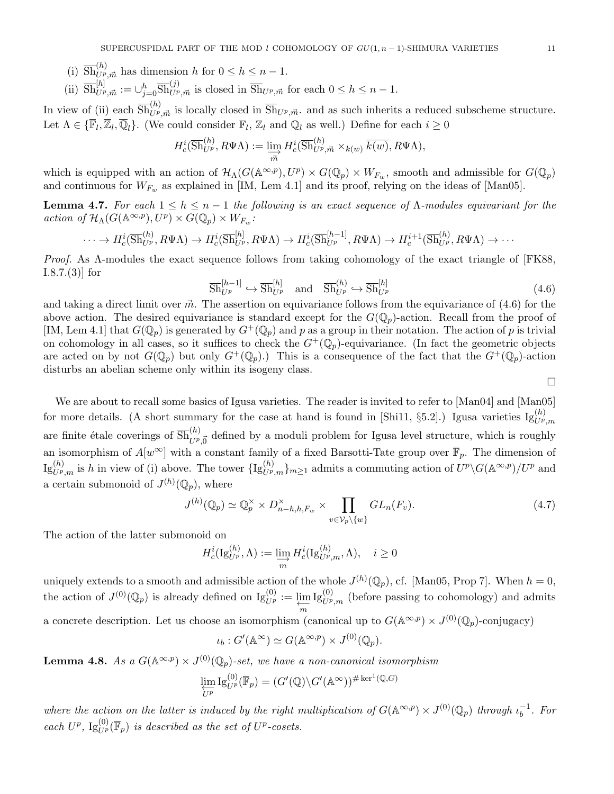- (i)  $\overline{\text{Sh}}_{U^p, \vec{m}}^{(h)}$  has dimension h for  $0 \le h \le n 1$ .
- (ii)  $\overline{\text{Sh}}_{U^p, \vec{m}}^{[h]} := \cup_{j=0}^h \overline{\text{Sh}}_{U^p, \vec{m}}^{(j)}$  is closed in  $\overline{\text{Sh}}_{U^p, \vec{m}}$  for each  $0 \le h \le n-1$ .

In view of (ii) each  $\overline{\text{Sh}}_{U^p,\vec{m}}$  is locally closed in  $\overline{\text{Sh}}_{U^p,\vec{m}}$  and as such inherits a reduced subscheme structure. Let  $\Lambda \in \{\overline{\mathbb{F}}_l, \overline{\mathbb{Z}}_l, \overline{\mathbb{Q}}_l\}$ . (We could consider  $\mathbb{F}_l, \mathbb{Z}_l$  and  $\mathbb{Q}_l$  as well.) Define for each  $i \geq 0$ 

$$
H_c^i(\overline{\text{Sh}}_{U^p}^{(h)}, R\Psi\Lambda) := \varinjlim_{\overrightarrow{m}} H_c^i(\overline{\text{Sh}}_{U^p, \overrightarrow{m}}^{(h)} \times_{k(w)} \overline{k(w)}, R\Psi\Lambda),
$$

which is equipped with an action of  $\mathcal{H}_{\Lambda}(G(\mathbb{A}^{\infty,p}), U^p) \times G(\mathbb{Q}_p) \times W_{F_w}$ , smooth and admissible for  $G(\mathbb{Q}_p)$ and continuous for  $W_{F_w}$  as explained in [IM, Lem 4.1] and its proof, relying on the ideas of [Man05].

**Lemma 4.7.** For each  $1 \leq h \leq n-1$  the following is an exact sequence of  $\Lambda$ -modules equivariant for the action of  $\mathcal{H}_{\Lambda}(G(\mathbb{A}^{\infty,p}), U^p) \times G(\mathbb{Q}_p) \times W_{F_w}$ .

$$
\cdots \to H_c^i(\overline{\mathrm{Sh}}_{U^p}^{(h)}, R\Psi\Lambda) \to H_c^i(\overline{\mathrm{Sh}}_{U^p}^{[h]}, R\Psi\Lambda) \to H_c^i(\overline{\mathrm{Sh}}_{U^p}^{[h-1]}, R\Psi\Lambda) \to H_c^{i+1}(\overline{\mathrm{Sh}}_{U^p}^{(h)}, R\Psi\Lambda) \to \cdots
$$

Proof. As Λ-modules the exact sequence follows from taking cohomology of the exact triangle of [FK88, I.8.7.(3)] for

$$
\overline{\text{Sh}}_{U^p}^{[h-1]} \hookrightarrow \overline{\text{Sh}}_{U^p}^{[h]} \quad \text{and} \quad \overline{\text{Sh}}_{U^p}^{(h)} \hookrightarrow \overline{\text{Sh}}_{U^p}^{[h]}
$$
(4.6)

and taking a direct limit over  $\vec{m}$ . The assertion on equivariance follows from the equivariance of (4.6) for the above action. The desired equivariance is standard except for the  $G(\mathbb{Q}_p)$ -action. Recall from the proof of [IM, Lem 4.1] that  $G(\mathbb{Q}_p)$  is generated by  $G^+(\mathbb{Q}_p)$  and p as a group in their notation. The action of p is trivial on cohomology in all cases, so it suffices to check the  $G^+(\mathbb{Q}_p)$ -equivariance. (In fact the geometric objects are acted on by not  $G(\mathbb{Q}_p)$  but only  $G^+(\mathbb{Q}_p)$ .) This is a consequence of the fact that the  $G^+(\mathbb{Q}_p)$ -action disturbs an abelian scheme only within its isogeny class.

 $\Box$ 

We are about to recall some basics of Igusa varieties. The reader is invited to refer to [Man04] and [Man05] for more details. (A short summary for the case at hand is found in [Shi11, §5.2].) Igusa varieties  $\text{Ig}_{U^p,m}^{(h)}$ are finite étale coverings of  $\overline{Sh}_{U^p,\vec{0}}^{(h)}$  defined by a moduli problem for Igusa level structure, which is roughly an isomorphism of  $A[w^{\infty}]$  with a constant family of a fixed Barsotti-Tate group over  $\overline{\mathbb{F}}_p$ . The dimension of  $\text{Ig}_{U^p,m}^{(h)}$  is h in view of (i) above. The tower  $\text{Ig}_{U^p,m}^{(h)}\}_{m\geq 1}$  admits a commuting action of  $U^p\backslash G(\mathbb{A}^{\infty,p})/U^p$  and a certain submonoid of  $J^{(h)}(\mathbb{Q}_p)$ , where

$$
J^{(h)}(\mathbb{Q}_p) \simeq \mathbb{Q}_p^{\times} \times D_{n-h,h,F_w}^{\times} \times \prod_{v \in \mathcal{V}_p \setminus \{w\}} GL_n(F_v). \tag{4.7}
$$

The action of the latter submonoid on

$$
H_c^i(\mathrm{Ig}_{U^p}^{(h)}, \Lambda) := \varinjlim_m H_c^i(\mathrm{Ig}_{U^p,m}^{(h)}, \Lambda), \quad i \ge 0
$$

uniquely extends to a smooth and admissible action of the whole  $J^{(h)}(\mathbb{Q}_p)$ , cf. [Man05, Prop 7]. When  $h = 0$ , the action of  $J^{(0)}(\mathbb{Q}_p)$  is already defined on  $\mathrm{Ig}_{U^p}^{(0)} := \varprojlim_m$  $\mathrm{Ig}_{U^{p},m}^{(0)}$  (before passing to cohomology) and admits a concrete description. Let us choose an isomorphism (canonical up to  $G(\mathbb{A}^{\infty,p}) \times J^{(0)}(\mathbb{Q}_p)$ -conjugacy)

$$
\iota_b: G'(\mathbb{A}^{\infty}) \simeq G(\mathbb{A}^{\infty,p}) \times J^{(0)}(\mathbb{Q}_p).
$$

**Lemma 4.8.** As a  $G(\mathbb{A}^{\infty,p}) \times J^{(0)}(\mathbb{Q}_p)$ -set, we have a non-canonical isomorphism

$$
\varprojlim_{U^p} \mathrm{Ig}_{U^p}^{(0)}(\overline{\mathbb{F}}_p) = (G'(\mathbb{Q}) \backslash G'(\mathbb{A}^\infty))^{\#\ker^1(\mathbb{Q},G)}
$$

where the action on the latter is induced by the right multiplication of  $G(\mathbb{A}^{\infty,p}) \times J^{(0)}(\mathbb{Q}_p)$  through  $\iota_b^{-1}$  $b^{-1}$ . For each  $U^p$ ,  $\mathrm{Ig}_{U^p}^{(0)}(\overline{\mathbb{F}}_p)$  is described as the set of  $U^p$ -cosets.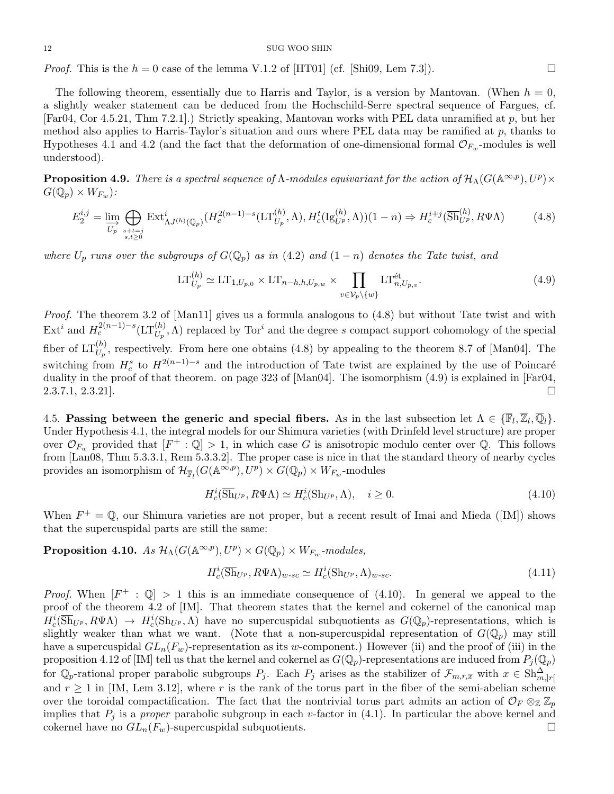*Proof.* This is the  $h = 0$  case of the lemma V.1.2 of [HT01] (cf. [Shi09, Lem 7.3]).

The following theorem, essentially due to Harris and Taylor, is a version by Mantovan. (When  $h = 0$ , a slightly weaker statement can be deduced from the Hochschild-Serre spectral sequence of Fargues, cf. [Far04, Cor 4.5.21, Thm 7.2.1].) Strictly speaking, Mantovan works with PEL data unramified at p, but her method also applies to Harris-Taylor's situation and ours where PEL data may be ramified at  $p$ , thanks to Hypotheses 4.1 and 4.2 (and the fact that the deformation of one-dimensional formal  $\mathcal{O}_{F_w}$ -modules is well understood).

**Proposition 4.9.** There is a spectral sequence of  $\Lambda$ -modules equivariant for the action of  $\mathcal{H}_{\Lambda}(G(\mathbb{A}^{\infty,p}), U^p) \times$  $G(\bar{\mathbb Q_p})\times W_{F_w})$  :

$$
E_2^{i,j} = \lim_{U_p} \bigoplus_{\substack{s+t=j\\s,t \ge 0}} \text{Ext}^i_{\Lambda J^{(h)}(\mathbb{Q}_p)}(H_c^{2(n-1)-s}(\text{LT}_{U_p}^{(h)}, \Lambda), H_c^t(\text{Ig}_{U^p}^{(h)}, \Lambda))(1-n) \Rightarrow H_c^{i+j}(\overline{\text{Sh}}_{U^p}^{(h)}, R\Psi\Lambda) \tag{4.8}
$$

where  $U_p$  runs over the subgroups of  $G(\mathbb{Q}_p)$  as in (4.2) and  $(1 - n)$  denotes the Tate twist, and

$$
\mathop{\rm LT}\nolimits_{U_p}^{(h)} \simeq \mathop{\rm LT}\nolimits_{1,U_{p,0}} \times \mathop{\rm LT}\nolimits_{n-h,h,U_{p,w}} \times \prod_{v \in \mathcal{V}_p \setminus \{w\}} \mathop{\rm LT}\nolimits_{n,U_{p,v}}^{\text{\'et}}.
$$
\n(4.9)

Proof. The theorem 3.2 of [Man11] gives us a formula analogous to  $(4.8)$  but without Tate twist and with  $\mathrm{Ext}^i$  and  $H_c^{2(n-1)-s}(\mathrm{LT}_{U_p}^{(h)},\Lambda)$  replaced by Tor<sup>i</sup> and the degree s compact support cohomology of the special fiber of  $LT_{U_p}^{(h)}$ , respectively. From here one obtains (4.8) by appealing to the theorem 8.7 of [Man04]. The switching from  $H_c^s$  to  $H^{2(n-1)-s}$  and the introduction of Tate twist are explained by the use of Poincaré duality in the proof of that theorem. on page 323 of [Man04]. The isomorphism  $(4.9)$  is explained in [Far04,  $2.3.7.1, 2.3.21$ .

4.5. Passing between the generic and special fibers. As in the last subsection let  $\Lambda \in \{\overline{\mathbb{F}}_l, \overline{\mathbb{Z}}_l, \overline{\mathbb{Q}}_l\}$ . Under Hypothesis 4.1, the integral models for our Shimura varieties (with Drinfeld level structure) are proper over  $\mathcal{O}_{F_w}$  provided that  $[F^+ : \mathbb{Q}] > 1$ , in which case G is anisotropic modulo center over Q. This follows from [Lan08, Thm 5.3.3.1, Rem 5.3.3.2]. The proper case is nice in that the standard theory of nearby cycles provides an isomorphism of  $\mathcal{H}_{\overline{\mathbb{F}}_l}(G(\mathbb{A}^{\infty,p}), U^p) \times G(\mathbb{Q}_p) \times W_{F_w}$ -modules

$$
H_c^i(\overline{\text{Sh}}_{U^p}, R\Psi\Lambda) \simeq H_c^i(\text{Sh}_{U^p}, \Lambda), \quad i \ge 0.
$$
\n(4.10)

When  $F^+ = \mathbb{Q}$ , our Shimura varieties are not proper, but a recent result of Imai and Mieda ([IM]) shows that the supercuspidal parts are still the same:

Proposition 4.10. As  $\mathcal{H}_{\Lambda}(G(\mathbb{A}^{\infty,p}), U^{p}) \times G(\mathbb{Q}_{p}) \times W_{F_{w}}$ -modules,

$$
H_c^i(\overline{\text{Sh}}_{U^p}, R\Psi\Lambda)_{w\text{-}sc} \simeq H_c^i(\text{Sh}_{U^p}, \Lambda)_{w\text{-}sc}.\tag{4.11}
$$

*Proof.* When  $[F^+ : \mathbb{Q}] > 1$  this is an immediate consequence of (4.10). In general we appeal to the proof of the theorem 4.2 of [IM]. That theorem states that the kernel and cokernel of the canonical map  $H_c^i(\overline{Sh}_{U^p}, R\Psi\Lambda) \rightarrow H_c^i(Sh_{U^p}, \Lambda)$  have no supercuspidal subquotients as  $G(\mathbb{Q}_p)$ -representations, which is slightly weaker than what we want. (Note that a non-supercuspidal representation of  $G(\mathbb{Q}_p)$  may still have a supercuspidal  $GL_n(F_w)$ -representation as its w-component.) However (ii) and the proof of (iii) in the proposition 4.12 of [IM] tell us that the kernel and cokernel as  $G(\mathbb{Q}_p)$ -representations are induced from  $P_j(\mathbb{Q}_p)$ for  $\mathbb{Q}_p$ -rational proper parabolic subgroups  $P_j$ . Each  $P_j$  arises as the stabilizer of  $\mathcal{F}_{m,r,\overline{x}}$  with  $x \in \text{Sh}_{m,|r|}^{\Delta}$ and  $r \ge 1$  in [IM, Lem 3.12], where r is the rank of the torus part in the fiber of the semi-abelian scheme over the toroidal compactification. The fact that the nontrivial torus part admits an action of  $\mathcal{O}_F \otimes_{\mathbb{Z}} \mathbb{Z}_p$ implies that  $P_j$  is a proper parabolic subgroup in each v-factor in (4.1). In particular the above kernel and cokernel have no  $GL_n(F_w)$ -supercuspidal subquotients.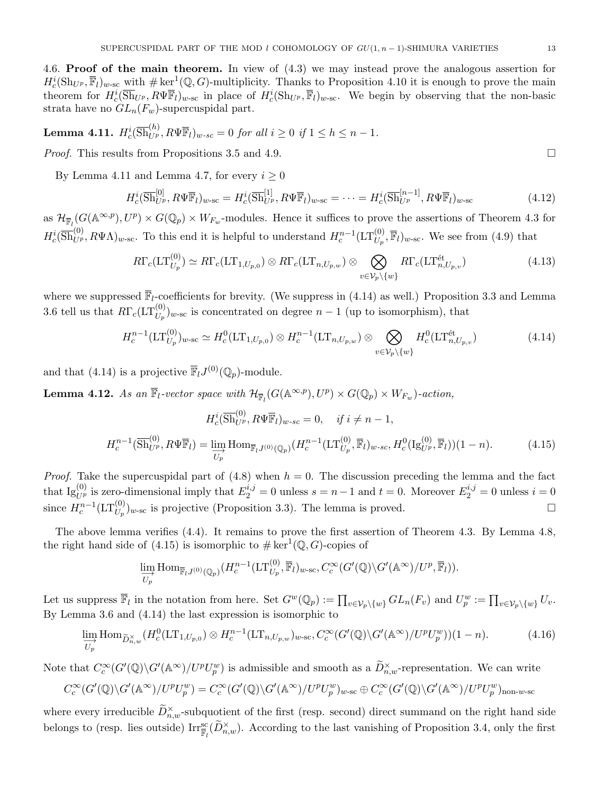4.6. Proof of the main theorem. In view of (4.3) we may instead prove the analogous assertion for  $H_c^i(\mathrm{Sh}_{U^p}, \overline{\mathbb{F}}_l)_{w\text{-sc}}$  with  $\#\ker^1(\mathbb{Q}, G)$ -multiplicity. Thanks to Proposition 4.10 it is enough to prove the main theorem for  $H_c^i(\overline{Sh}_{U^p}, R\Psi \overline{\mathbb{F}}_l)_{w\text{-sc}}$  in place of  $H_c^i(\text{Sh}_{U^p}, \overline{\mathbb{F}}_l)_{w\text{-sc}}$ . We begin by observing that the non-basic strata have no  $GL_n(F_w)$ -supercuspidal part.

**Lemma 4.11.** 
$$
H_c^i(\overline{\mathrm{Sh}}_{U^p}^{(h)}, R\Psi \overline{\mathbb{F}}_l)_{w\text{-}sc} = 0
$$
 for all  $i \geq 0$  if  $1 \leq h \leq n-1$ .

*Proof.* This results from Propositions 3.5 and 4.9.

By Lemma 4.11 and Lemma 4.7, for every  $i \geq 0$ 

$$
H_c^i(\overline{\text{Sh}}_{U^p}^{[0]}, R\Psi \overline{\mathbb{F}}_l)_{w\text{-sc}} = H_c^i(\overline{\text{Sh}}_{U^p}^{[1]}, R\Psi \overline{\mathbb{F}}_l)_{w\text{-sc}} = \dots = H_c^i(\overline{\text{Sh}}_{U^p}^{[n-1]}, R\Psi \overline{\mathbb{F}}_l)_{w\text{-sc}} \tag{4.12}
$$

as  $\mathcal{H}_{\overline{\mathbb{F}}_l}(G(\mathbb{A}^{\infty,p}), U^p) \times G(\mathbb{Q}_p) \times W_{F_w}$ -modules. Hence it suffices to prove the assertions of Theorem 4.3 for  $H_c^i(\overline{Sh}_{U^p}^{(0)}, R\Psi\Lambda)_{w\text{-sc}}$ . To this end it is helpful to understand  $H_c^{n-1}(\mathrm{LT}_{U_p}^{(0)}, \overline{\mathbb{F}}_l)_{w\text{-sc}}$ . We see from (4.9) that

$$
R\Gamma_c(\mathrm{LT}_{U_p}^{(0)}) \simeq R\Gamma_c(\mathrm{LT}_{1,U_{p,0}}) \otimes R\Gamma_c(\mathrm{LT}_{n,U_{p,w}}) \otimes \bigotimes_{v \in \mathcal{V}_p \setminus \{w\}} R\Gamma_c(\mathrm{LT}_{n,U_{p,v}}^{\text{\'et}})
$$
(4.13)

where we suppressed  $\overline{\mathbb{F}}_l$ -coefficients for brevity. (We suppress in (4.14) as well.) Proposition 3.3 and Lemma 3.6 tell us that  $R\Gamma_c(\mathrm{LT}_{U_p}^{(0)})_{w\text{-sc}}$  is concentrated on degree  $n-1$  (up to isomorphism), that

$$
H_c^{n-1}(\mathrm{LT}_{U_p}^{(0)})_{w\text{-sc}} \simeq H_c^0(\mathrm{LT}_{1,U_{p,0}}) \otimes H_c^{n-1}(\mathrm{LT}_{n,U_{p,w}}) \otimes \bigotimes_{v \in \mathcal{V}_p \setminus \{w\}} H_c^0(\mathrm{LT}_{n,U_{p,v}}^{\text{\'et}}) \tag{4.14}
$$

and that (4.14) is a projective  $\overline{\mathbb{F}}_l J^{(0)}(\mathbb{Q}_p)$ -module.

**Lemma 4.12.** As an  $\overline{\mathbb{F}}_l$ -vector space with  $\mathcal{H}_{\overline{\mathbb{F}}_l}(G(\mathbb{A}^{\infty,p}), U^p) \times G(\mathbb{Q}_p) \times W_{F_w}$ )-action,

$$
H_c^i(\overline{\text{Sh}}_{U^p}^{(0)}, R\Psi \overline{\mathbb{F}}_l)_{w-sc} = 0, \quad \text{if } i \neq n-1,
$$
  

$$
H_c^{n-1}(\overline{\text{Sh}}_{U^p}^{(0)}, R\Psi \overline{\mathbb{F}}_l) = \varinjlim_{U_p} \text{Hom}_{\overline{\mathbb{F}}_l J^{(0)}(\mathbb{Q}_p)} (H_c^{n-1}(\text{LT}_{U_p}^{(0)}, \overline{\mathbb{F}}_l)_{w-sc}, H_c^0(\text{Ig}_{U^p}^{(0)}, \overline{\mathbb{F}}_l)) (1-n).
$$
 (4.15)

*Proof.* Take the supercuspidal part of  $(4.8)$  when  $h = 0$ . The discussion preceding the lemma and the fact that  $\text{Ig}_{U^p}^{(0)}$  is zero-dimensional imply that  $E_2^{i,j} = 0$  unless  $s = n-1$  and  $t = 0$ . Moreover  $E_2^{i,j} = 0$  unless  $i = 0$ since  $H_c^{n-1}(\mathrm{LT}_{U_p}^{(0)})_{w\text{-sc}}$  is projective (Proposition 3.3). The lemma is proved. □

The above lemma verifies (4.4). It remains to prove the first assertion of Theorem 4.3. By Lemma 4.8, the right hand side of (4.15) is isomorphic to  $\# \ker^1(\mathbb{Q}, G)$ -copies of

$$
\varinjlim_{U_p} \text{Hom}_{\overline{\mathbb{F}}_l J^{(0)}(\mathbb{Q}_p)}(H_c^{n-1}(\text{LT}_{U_p}^{(0)}, \overline{\mathbb{F}}_l)_{w\text{-sc}}, C_c^{\infty}(G'(\mathbb{Q})\backslash G'(\mathbb{A}^{\infty})/U^p, \overline{\mathbb{F}}_l)).
$$

Let us suppress  $\overline{\mathbb{F}}_l$  in the notation from here. Set  $G^w(\mathbb{Q}_p) := \prod_{v \in \mathcal{V}_p \setminus \{w\}} GL_n(F_v)$  and  $U_p^w := \prod_{v \in \mathcal{V}_p \setminus \{w\}} U_v$ . By Lemma 3.6 and (4.14) the last expression is isomorphic to

$$
\lim_{\overrightarrow{U_p}} \text{Hom}_{\widetilde{D}_{n,w}^{\times}}(H_c^0(\text{LT}_{1,U_{p,0}}) \otimes H_c^{n-1}(\text{LT}_{n,U_{p,w}})_{w\text{-sc}}, C_c^{\infty}(G'(\mathbb{Q}) \backslash G'(\mathbb{A}^{\infty})/U^p U_p^w))(1-n). \tag{4.16}
$$

Note that  $C_c^{\infty}(G'(\mathbb{Q})\backslash G'(\mathbb{A}^{\infty})/U^pU_p^w)$  is admissible and smooth as a  $\widetilde{D}_{n,w}^{\times}$ -representation. We can write

$$
C_c^\infty(G'(\mathbb{Q})\backslash G'(\mathbb{A}^\infty)/U^pU_p^w)=C_c^\infty(G'(\mathbb{Q})\backslash G'(\mathbb{A}^\infty)/U^pU_p^w)_{w\text{-sc}}\oplus C_c^\infty(G'(\mathbb{Q})\backslash G'(\mathbb{A}^\infty)/U^pU_p^w)_{\text{non-w-sc}}
$$

where every irreducible  $\widetilde{D}_{n,w}^{\times}$ -subquotient of the first (resp. second) direct summand on the right hand side belongs to (resp. lies outside)  $\text{Irr}_{\overline{\mathbb{F}}_l}^{\text{sc}}(\widetilde{D}_{n,w}^{\times})$ . According to the last vanishing of Proposition 3.4, only the first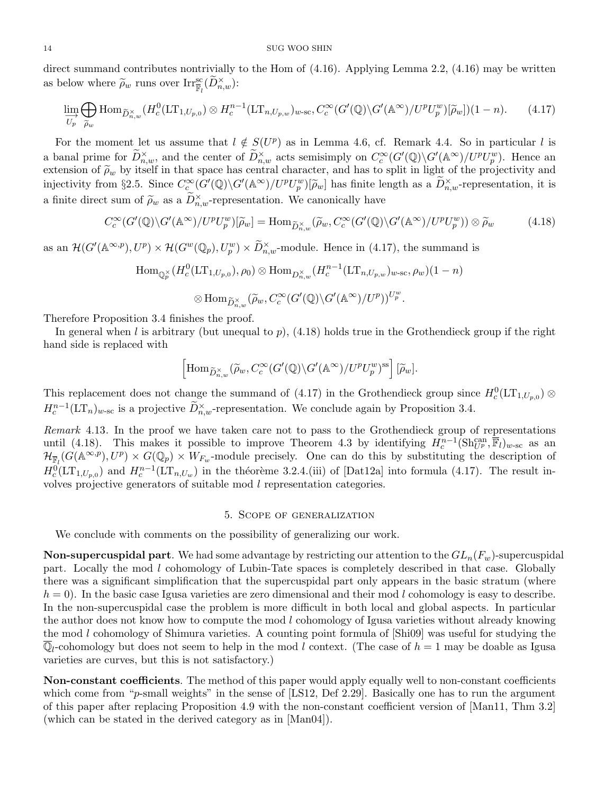#### 14 SUG WOO SHIN

direct summand contributes nontrivially to the Hom of (4.16). Applying Lemma 2.2, (4.16) may be written as below where  $\widetilde{\rho}_w$  runs over  $\text{Irr}_{\overline{\mathbb{F}}_l}^{\text{sc}}(\widetilde{D}_{n,w}^{\times})$ :

$$
\varinjlim_{U_p} \bigoplus_{\widetilde{\rho}_w} \text{Hom}_{\widetilde{D}_{n,w}^{\times}}(H_c^0(\text{LT}_{1,U_{p,0}}) \otimes H_c^{n-1}(\text{LT}_{n,U_{p,w}})_{w\text{-sc}}, C_c^{\infty}(G'(\mathbb{Q}) \backslash G'(\mathbb{A}^{\infty})/U^pU_p^w)[\widetilde{\rho}_w])(1-n). \tag{4.17}
$$

For the moment let us assume that  $l \notin S(U^p)$  as in Lemma 4.6, cf. Remark 4.4. So in particular l is a banal prime for  $\widetilde{D}_{n,w}^{\times}$ , and the center of  $\widetilde{D}_{n,w}^{\times}$  acts semisimply on  $C_c^{\infty}(G'(\mathbb{Q})\backslash G'(\mathbb{A}^{\infty})/U^pU_p^w)$ . Hence an extension of  $\widetilde{\rho}_w$  by itself in that space has central character, and has to split in light of the projectivity and<br>injectivity from \$2.5. Since  $C^{\infty}(C'(\mathbb{Q})\setminus C'(\mathbb{A}^{\infty})/U^{p}U^{w})[\widetilde{\alpha}]$  has finite length as a injectivity from §2.5. Since  $C_c^{\infty}(G'(\mathbb{Q})\backslash G'(\mathbb{A}^{\infty})/U^pU^w_p)[\tilde{\rho}_w]$  has finite length as a  $\widetilde{D}^{\times}_{n,w}$ -representation, it is a finite direct sum of  $\widetilde{\rho}_w$  as a  $\widetilde{D}_{n,w}^{\times}$ -representation. We canonically have

$$
C_c^{\infty}(G'(\mathbb{Q})\backslash G'(\mathbb{A}^{\infty})/U^pU_p^w)[\widetilde{\rho}_w] = \text{Hom}_{\widetilde{D}_{n,w}^{\times}}(\widetilde{\rho}_w, C_c^{\infty}(G'(\mathbb{Q})\backslash G'(\mathbb{A}^{\infty})/U^pU_p^w)) \otimes \widetilde{\rho}_w
$$
(4.18)

as an  $\mathcal{H}(G'(\mathbb{A}^{\infty,p}), U^p) \times \mathcal{H}(G^w(\mathbb{Q}_p), U^w_p) \times \widetilde{D}_{n,w}^{\times}$ -module. Hence in (4.17), the summand is

$$
\text{Hom}_{\mathbb{Q}_p^{\times}}(H_c^0(\text{LT}_{1,U_{p,0}}),\rho_0) \otimes \text{Hom}_{D_{n,w}^{\times}}(H_c^{n-1}(\text{LT}_{n,U_{p,w}})_{w\text{-sc}},\rho_w)(1-n)
$$
  

$$
\otimes \text{Hom}_{\widetilde{D}_{n,w}^{\times}}(\widetilde{\rho}_w,C_c^{\infty}(G'(\mathbb{Q})\backslash G'(\mathbb{A}^{\infty})/U^p))^{U_p^w}.
$$

Therefore Proposition 3.4 finishes the proof.

In general when l is arbitrary (but unequal to  $p$ ), (4.18) holds true in the Grothendieck group if the right hand side is replaced with

$$
\left[\operatorname{Hom}_{{\widetilde{\cal D}}_{n,w}^{\times}}({\widetilde{\rho}}_w, C_c^\infty(G'({\mathbb Q})\backslash G'({\mathbb A}^\infty)/U^pU_p^w)^{\operatorname{ss}}\right] [{\widetilde{\rho}}_w].
$$

This replacement does not change the summand of (4.17) in the Grothendieck group since  $H_c^0(\mathrm{LT}_{1,U_{p,0}}) \otimes$  $H_c^{n-1}(\mathrm{LT}_n)_{w\text{-sc}}$  is a projective  $\widetilde{D}_{n,w}^{\times}$ -representation. We conclude again by Proposition 3.4.

Remark 4.13. In the proof we have taken care not to pass to the Grothendieck group of representations until (4.18). This makes it possible to improve Theorem 4.3 by identifying  $H_c^{n-1}(\text{Sh}_{U^p}^{\text{can}}, \overline{\mathbb{F}}_l)_{w-\text{sc}}$  as an  $\mathcal{H}_{\overline{\mathbb{F}}_l}(G(\mathbb{A}^{\infty,p}), U^p) \times G(\mathbb{Q}_p) \times W_{F_w}$ -module precisely. One can do this by substituting the description of  $H_c^0(\mathrm{LT}_{1,U_{p,0}})$  and  $H_c^{n-1}(\mathrm{LT}_{n,U_w})$  in the théorème 3.2.4.(iii) of [Dat12a] into formula (4.17). The result involves projective generators of suitable mod l representation categories.

### 5. Scope of generalization

We conclude with comments on the possibility of generalizing our work.

**Non-supercuspidal part.** We had some advantage by restricting our attention to the  $GL_n(F_w)$ -supercuspidal part. Locally the mod l cohomology of Lubin-Tate spaces is completely described in that case. Globally there was a significant simplification that the supercuspidal part only appears in the basic stratum (where  $h = 0$ . In the basic case Igusa varieties are zero dimensional and their mod l cohomology is easy to describe. In the non-supercuspidal case the problem is more difficult in both local and global aspects. In particular the author does not know how to compute the mod l cohomology of Igusa varieties without already knowing the mod l cohomology of Shimura varieties. A counting point formula of [Shi09] was useful for studying the  $\overline{\mathbb{Q}}_l$ -cohomology but does not seem to help in the mod l context. (The case of  $h = 1$  may be doable as Igusa varieties are curves, but this is not satisfactory.)

Non-constant coefficients. The method of this paper would apply equally well to non-constant coefficients which come from "p-small weights" in the sense of [LS12, Def 2.29]. Basically one has to run the argument of this paper after replacing Proposition 4.9 with the non-constant coefficient version of [Man11, Thm 3.2] (which can be stated in the derived category as in [Man04]).